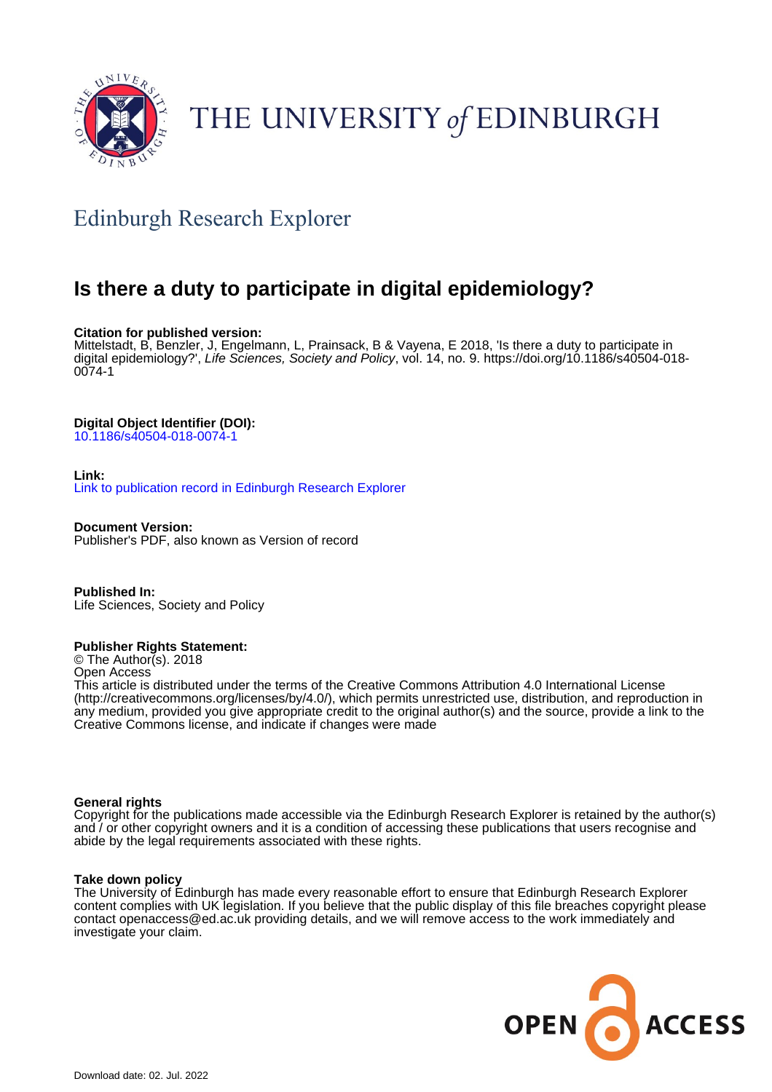

# THE UNIVERSITY of EDINBURGH

## Edinburgh Research Explorer

## **Is there a duty to participate in digital epidemiology?**

## **Citation for published version:**

Mittelstadt, B, Benzler, J, Engelmann, L, Prainsack, B & Vayena, E 2018, 'Is there a duty to participate in digital epidemiology?', Life Sciences, Society and Policy, vol. 14, no. 9. [https://doi.org/10.1186/s40504-018-](https://doi.org/10.1186/s40504-018-0074-1) [0074-1](https://doi.org/10.1186/s40504-018-0074-1)

## **Digital Object Identifier (DOI):**

[10.1186/s40504-018-0074-1](https://doi.org/10.1186/s40504-018-0074-1)

## **Link:**

[Link to publication record in Edinburgh Research Explorer](https://www.research.ed.ac.uk/en/publications/bd872c9a-4bc8-44ef-9ae6-e507c922e651)

**Document Version:** Publisher's PDF, also known as Version of record

**Published In:** Life Sciences, Society and Policy

## **Publisher Rights Statement:**

© The Author(s). 2018

Open Access

This article is distributed under the terms of the Creative Commons Attribution 4.0 International License (http://creativecommons.org/licenses/by/4.0/), which permits unrestricted use, distribution, and reproduction in any medium, provided you give appropriate credit to the original author(s) and the source, provide a link to the Creative Commons license, and indicate if changes were made

## **General rights**

Copyright for the publications made accessible via the Edinburgh Research Explorer is retained by the author(s) and / or other copyright owners and it is a condition of accessing these publications that users recognise and abide by the legal requirements associated with these rights.

## **Take down policy**

The University of Edinburgh has made every reasonable effort to ensure that Edinburgh Research Explorer content complies with UK legislation. If you believe that the public display of this file breaches copyright please contact openaccess@ed.ac.uk providing details, and we will remove access to the work immediately and investigate your claim.

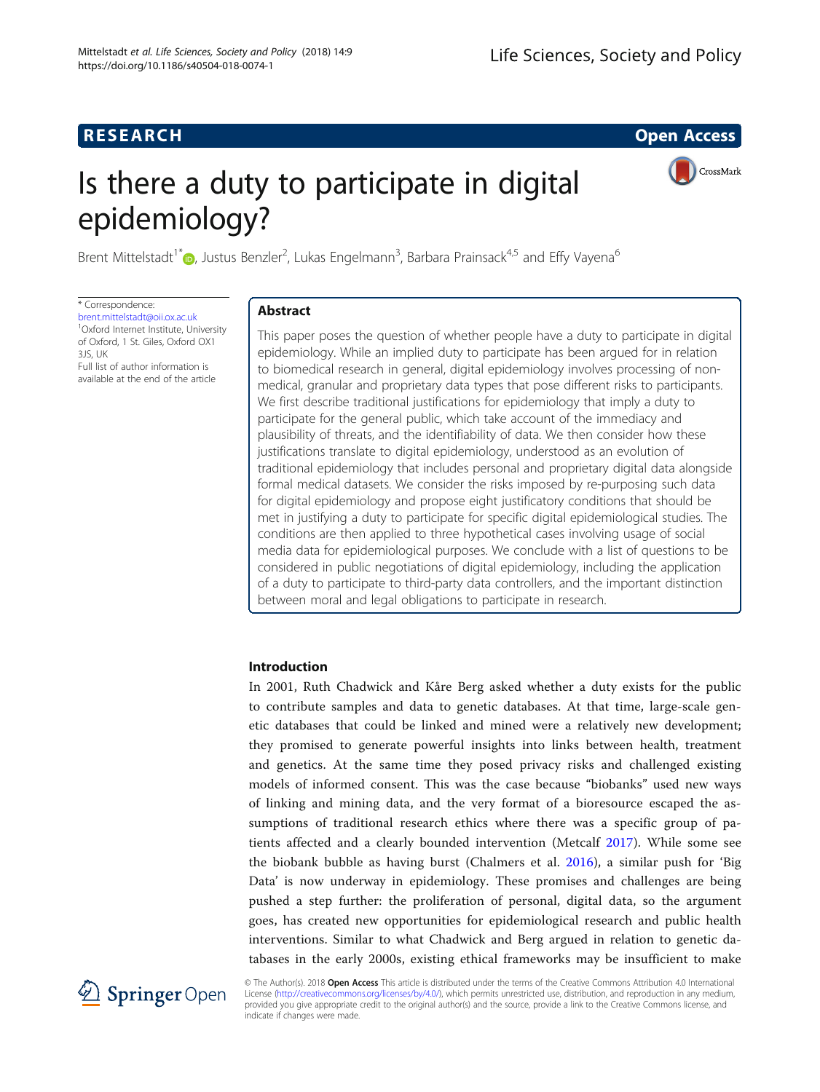## **RESEARCH RESEARCH CONSUMING ACCESS**

# Is there a duty to participate in digital epidemiology?

CrossMark

Brent Mittelstadt<sup>1\*</sup>®[,](http://orcid.org/0000-0002-4709-6404) Justus Benzler<sup>2</sup>, Lukas Engelmann<sup>3</sup>, Barbara Prainsack<sup>4,5</sup> and Effy Vayena<sup>6</sup>

\* Correspondence: [brent.mittelstadt@oii.ox.ac.uk](mailto:brent.mittelstadt@oii.ox.ac.uk) <sup>1</sup>Oxford Internet Institute, University of Oxford, 1 St. Giles, Oxford OX1 3JS, UK Full list of author information is available at the end of the article

## Abstract

This paper poses the question of whether people have a duty to participate in digital epidemiology. While an implied duty to participate has been argued for in relation to biomedical research in general, digital epidemiology involves processing of nonmedical, granular and proprietary data types that pose different risks to participants. We first describe traditional justifications for epidemiology that imply a duty to participate for the general public, which take account of the immediacy and plausibility of threats, and the identifiability of data. We then consider how these justifications translate to digital epidemiology, understood as an evolution of traditional epidemiology that includes personal and proprietary digital data alongside formal medical datasets. We consider the risks imposed by re-purposing such data for digital epidemiology and propose eight justificatory conditions that should be met in justifying a duty to participate for specific digital epidemiological studies. The conditions are then applied to three hypothetical cases involving usage of social media data for epidemiological purposes. We conclude with a list of questions to be considered in public negotiations of digital epidemiology, including the application of a duty to participate to third-party data controllers, and the important distinction between moral and legal obligations to participate in research.

## Introduction

In 2001, Ruth Chadwick and Kåre Berg asked whether a duty exists for the public to contribute samples and data to genetic databases. At that time, large-scale genetic databases that could be linked and mined were a relatively new development; they promised to generate powerful insights into links between health, treatment and genetics. At the same time they posed privacy risks and challenged existing models of informed consent. This was the case because "biobanks" used new ways of linking and mining data, and the very format of a bioresource escaped the assumptions of traditional research ethics where there was a specific group of patients affected and a clearly bounded intervention (Metcalf [2017](#page-23-0)). While some see the biobank bubble as having burst (Chalmers et al. [2016](#page-22-0)), a similar push for 'Big Data' is now underway in epidemiology. These promises and challenges are being pushed a step further: the proliferation of personal, digital data, so the argument goes, has created new opportunities for epidemiological research and public health interventions. Similar to what Chadwick and Berg argued in relation to genetic databases in the early 2000s, existing ethical frameworks may be insufficient to make



© The Author(s). 2018 Open Access This article is distributed under the terms of the Creative Commons Attribution 4.0 International License [\(http://creativecommons.org/licenses/by/4.0/](http://creativecommons.org/licenses/by/4.0/)), which permits unrestricted use, distribution, and reproduction in any medium, provided you give appropriate credit to the original author(s) and the source, provide a link to the Creative Commons license, and indicate if changes were made.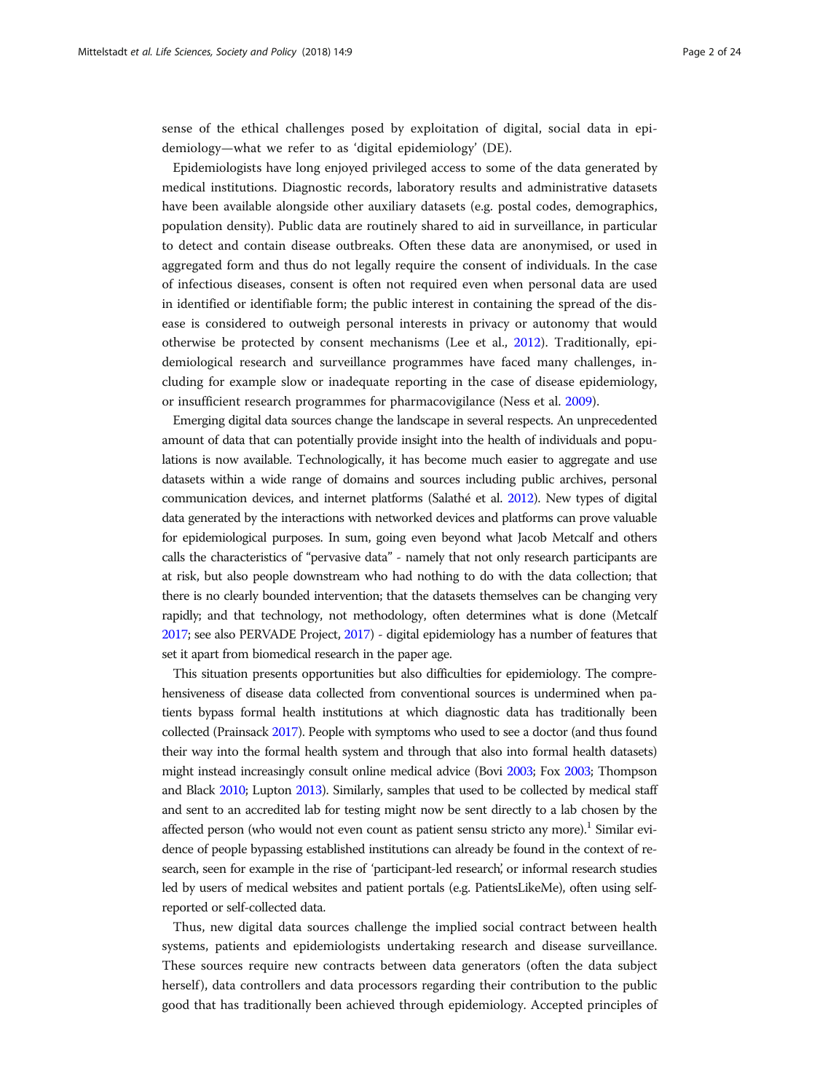sense of the ethical challenges posed by exploitation of digital, social data in epidemiology—what we refer to as 'digital epidemiology' (DE).

Epidemiologists have long enjoyed privileged access to some of the data generated by medical institutions. Diagnostic records, laboratory results and administrative datasets have been available alongside other auxiliary datasets (e.g. postal codes, demographics, population density). Public data are routinely shared to aid in surveillance, in particular to detect and contain disease outbreaks. Often these data are anonymised, or used in aggregated form and thus do not legally require the consent of individuals. In the case of infectious diseases, consent is often not required even when personal data are used in identified or identifiable form; the public interest in containing the spread of the disease is considered to outweigh personal interests in privacy or autonomy that would otherwise be protected by consent mechanisms (Lee et al., [2012\)](#page-23-0). Traditionally, epidemiological research and surveillance programmes have faced many challenges, including for example slow or inadequate reporting in the case of disease epidemiology, or insufficient research programmes for pharmacovigilance (Ness et al. [2009](#page-23-0)).

Emerging digital data sources change the landscape in several respects. An unprecedented amount of data that can potentially provide insight into the health of individuals and populations is now available. Technologically, it has become much easier to aggregate and use datasets within a wide range of domains and sources including public archives, personal communication devices, and internet platforms (Salathé et al. [2012\)](#page-23-0). New types of digital data generated by the interactions with networked devices and platforms can prove valuable for epidemiological purposes. In sum, going even beyond what Jacob Metcalf and others calls the characteristics of "pervasive data" - namely that not only research participants are at risk, but also people downstream who had nothing to do with the data collection; that there is no clearly bounded intervention; that the datasets themselves can be changing very rapidly; and that technology, not methodology, often determines what is done (Metcalf [2017;](#page-23-0) see also PERVADE Project, [2017\)](#page-23-0) - digital epidemiology has a number of features that set it apart from biomedical research in the paper age.

This situation presents opportunities but also difficulties for epidemiology. The comprehensiveness of disease data collected from conventional sources is undermined when patients bypass formal health institutions at which diagnostic data has traditionally been collected (Prainsack [2017\)](#page-23-0). People with symptoms who used to see a doctor (and thus found their way into the formal health system and through that also into formal health datasets) might instead increasingly consult online medical advice (Bovi [2003](#page-22-0); Fox [2003](#page-23-0); Thompson and Black [2010](#page-24-0); Lupton [2013\)](#page-23-0). Similarly, samples that used to be collected by medical staff and sent to an accredited lab for testing might now be sent directly to a lab chosen by the affected person (who would not even count as patient sensu stricto any more).<sup>1</sup> Similar evidence of people bypassing established institutions can already be found in the context of research, seen for example in the rise of 'participant-led research', or informal research studies led by users of medical websites and patient portals (e.g. PatientsLikeMe), often using selfreported or self-collected data.

Thus, new digital data sources challenge the implied social contract between health systems, patients and epidemiologists undertaking research and disease surveillance. These sources require new contracts between data generators (often the data subject herself), data controllers and data processors regarding their contribution to the public good that has traditionally been achieved through epidemiology. Accepted principles of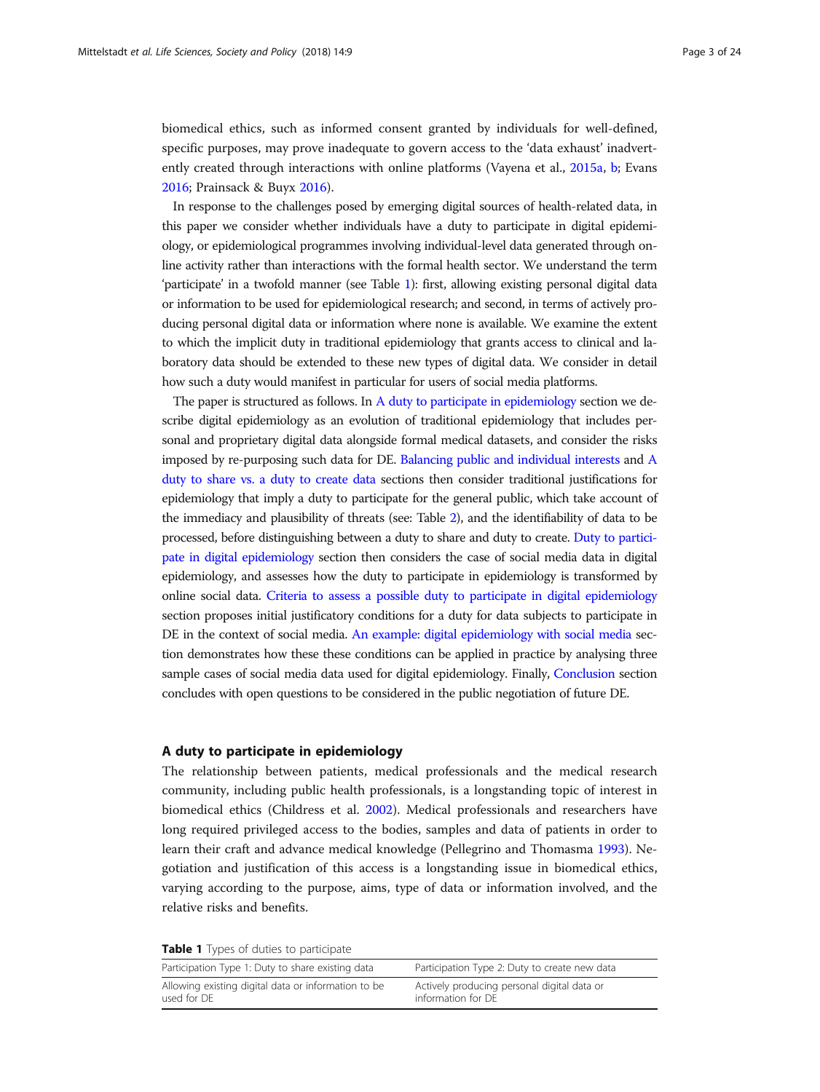<span id="page-3-0"></span>biomedical ethics, such as informed consent granted by individuals for well-defined, specific purposes, may prove inadequate to govern access to the 'data exhaust' inadvertently created through interactions with online platforms (Vayena et al., [2015a](#page-24-0), [b;](#page-24-0) Evans [2016](#page-23-0); Prainsack & Buyx [2016](#page-23-0)).

In response to the challenges posed by emerging digital sources of health-related data, in this paper we consider whether individuals have a duty to participate in digital epidemiology, or epidemiological programmes involving individual-level data generated through online activity rather than interactions with the formal health sector. We understand the term 'participate' in a twofold manner (see Table 1): first, allowing existing personal digital data or information to be used for epidemiological research; and second, in terms of actively producing personal digital data or information where none is available. We examine the extent to which the implicit duty in traditional epidemiology that grants access to clinical and laboratory data should be extended to these new types of digital data. We consider in detail how such a duty would manifest in particular for users of social media platforms.

The paper is structured as follows. In A duty to participate in epidemiology section we describe digital epidemiology as an evolution of traditional epidemiology that includes personal and proprietary digital data alongside formal medical datasets, and consider the risks imposed by re-purposing such data for DE. [Balancing public and individual interests](#page-6-0) and [A](#page-9-0) [duty to share vs. a duty to create data](#page-9-0) sections then consider traditional justifications for epidemiology that imply a duty to participate for the general public, which take account of the immediacy and plausibility of threats (see: Table [2\)](#page-4-0), and the identifiability of data to be processed, before distinguishing between a duty to share and duty to create. [Duty to partici](#page-10-0)[pate in digital epidemiology](#page-10-0) section then considers the case of social media data in digital epidemiology, and assesses how the duty to participate in epidemiology is transformed by online social data. [Criteria to assess a possible duty to participate in digital epidemiology](#page-12-0) section proposes initial justificatory conditions for a duty for data subjects to participate in DE in the context of social media. [An example: digital epidemiology with social media](#page-15-0) section demonstrates how these these conditions can be applied in practice by analysing three sample cases of social media data used for digital epidemiology. Finally, [Conclusion](#page-18-0) section concludes with open questions to be considered in the public negotiation of future DE.

### A duty to participate in epidemiology

The relationship between patients, medical professionals and the medical research community, including public health professionals, is a longstanding topic of interest in biomedical ethics (Childress et al. [2002](#page-22-0)). Medical professionals and researchers have long required privileged access to the bodies, samples and data of patients in order to learn their craft and advance medical knowledge (Pellegrino and Thomasma [1993\)](#page-23-0). Negotiation and justification of this access is a longstanding issue in biomedical ethics, varying according to the purpose, aims, type of data or information involved, and the relative risks and benefits.

Table 1 Types of duties to participate

| Participation Type 1: Duty to share existing data                  | Participation Type 2: Duty to create new data                     |
|--------------------------------------------------------------------|-------------------------------------------------------------------|
| Allowing existing digital data or information to be<br>used for DE | Actively producing personal digital data or<br>information for DF |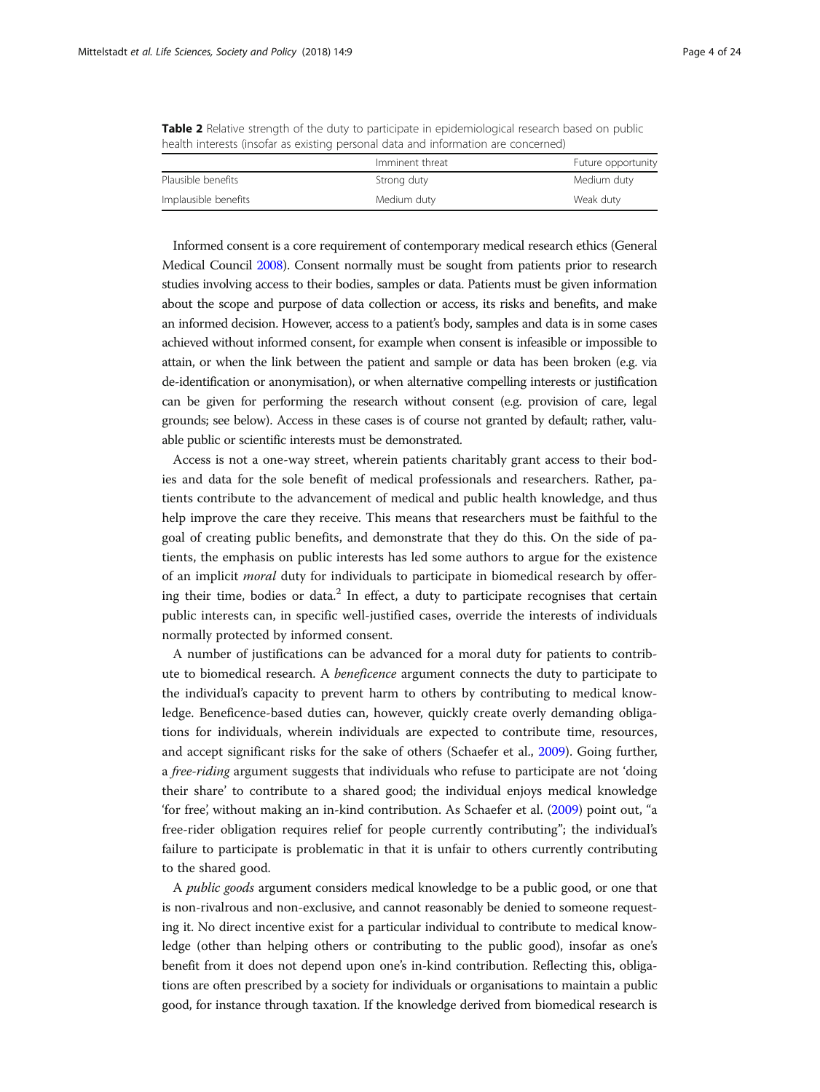| TICALITTING CONCENTRATION OF CABLING PCTSONAL GALA AND INTONINGUON ATC CONCENTRAT |                 |                    |  |
|-----------------------------------------------------------------------------------|-----------------|--------------------|--|
|                                                                                   | Imminent threat | Future opportunity |  |
| Plausible benefits                                                                | Strong duty     | Medium duty        |  |
| Implausible benefits                                                              | Medium duty     | Weak duty          |  |

<span id="page-4-0"></span>Table 2 Relative strength of the duty to participate in epidemiological research based on public health interests (insofar as existing personal data and information are concerned)

Informed consent is a core requirement of contemporary medical research ethics (General Medical Council [2008\)](#page-23-0). Consent normally must be sought from patients prior to research studies involving access to their bodies, samples or data. Patients must be given information about the scope and purpose of data collection or access, its risks and benefits, and make an informed decision. However, access to a patient's body, samples and data is in some cases achieved without informed consent, for example when consent is infeasible or impossible to attain, or when the link between the patient and sample or data has been broken (e.g. via de-identification or anonymisation), or when alternative compelling interests or justification can be given for performing the research without consent (e.g. provision of care, legal grounds; see below). Access in these cases is of course not granted by default; rather, valuable public or scientific interests must be demonstrated.

Access is not a one-way street, wherein patients charitably grant access to their bodies and data for the sole benefit of medical professionals and researchers. Rather, patients contribute to the advancement of medical and public health knowledge, and thus help improve the care they receive. This means that researchers must be faithful to the goal of creating public benefits, and demonstrate that they do this. On the side of patients, the emphasis on public interests has led some authors to argue for the existence of an implicit moral duty for individuals to participate in biomedical research by offering their time, bodies or data. $<sup>2</sup>$  In effect, a duty to participate recognises that certain</sup> public interests can, in specific well-justified cases, override the interests of individuals normally protected by informed consent.

A number of justifications can be advanced for a moral duty for patients to contribute to biomedical research. A *beneficence* argument connects the duty to participate to the individual's capacity to prevent harm to others by contributing to medical knowledge. Beneficence-based duties can, however, quickly create overly demanding obligations for individuals, wherein individuals are expected to contribute time, resources, and accept significant risks for the sake of others (Schaefer et al., [2009\)](#page-23-0). Going further, a free-riding argument suggests that individuals who refuse to participate are not 'doing their share' to contribute to a shared good; the individual enjoys medical knowledge 'for free', without making an in-kind contribution. As Schaefer et al. ([2009](#page-23-0)) point out, "a free-rider obligation requires relief for people currently contributing"; the individual's failure to participate is problematic in that it is unfair to others currently contributing to the shared good.

A public goods argument considers medical knowledge to be a public good, or one that is non-rivalrous and non-exclusive, and cannot reasonably be denied to someone requesting it. No direct incentive exist for a particular individual to contribute to medical knowledge (other than helping others or contributing to the public good), insofar as one's benefit from it does not depend upon one's in-kind contribution. Reflecting this, obligations are often prescribed by a society for individuals or organisations to maintain a public good, for instance through taxation. If the knowledge derived from biomedical research is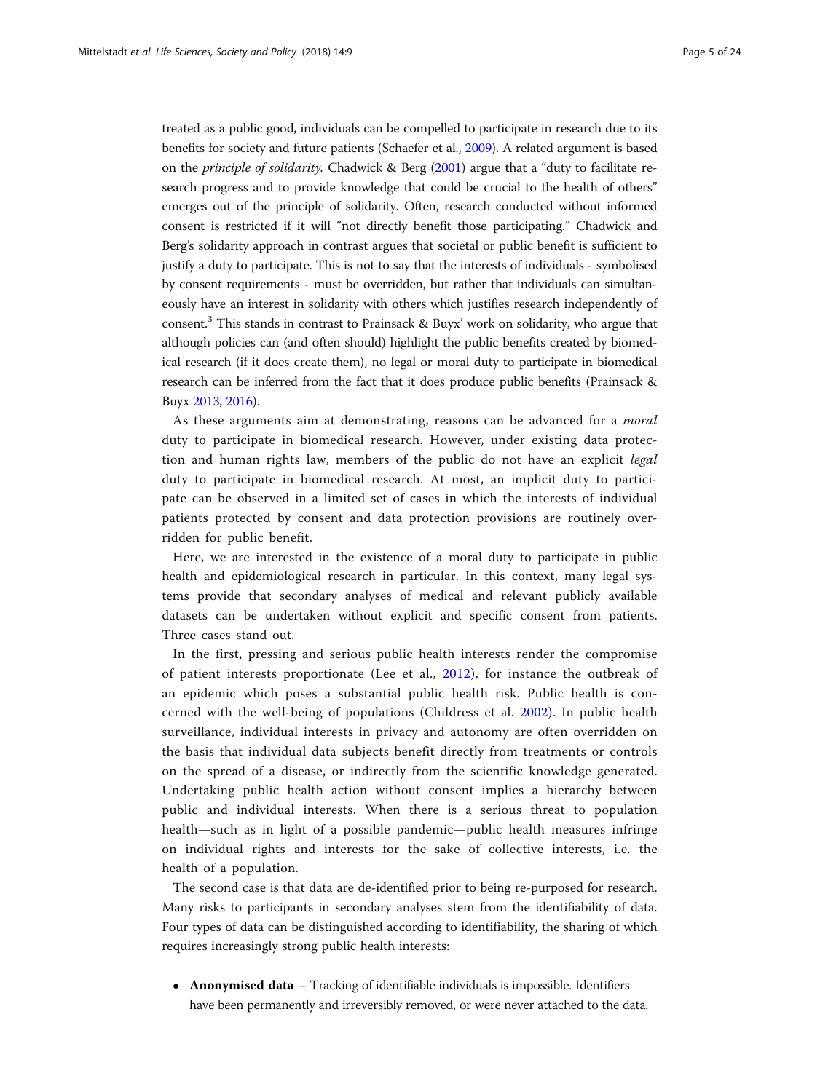treated as a public good, individuals can be compelled to participate in research due to its benefits for society and future patients (Schaefer et al., [2009](#page-23-0)). A related argument is based on the principle of solidarity. Chadwick & Berg [\(2001](#page-22-0)) argue that a "duty to facilitate research progress and to provide knowledge that could be crucial to the health of others" emerges out of the principle of solidarity. Often, research conducted without informed consent is restricted if it will "not directly benefit those participating." Chadwick and Berg's solidarity approach in contrast argues that societal or public benefit is sufficient to justify a duty to participate. This is not to say that the interests of individuals - symbolised by consent requirements - must be overridden, but rather that individuals can simultaneously have an interest in solidarity with others which justifies research independently of consent.3 This stands in contrast to Prainsack & Buyx' work on solidarity, who argue that although policies can (and often should) highlight the public benefits created by biomedical research (if it does create them), no legal or moral duty to participate in biomedical research can be inferred from the fact that it does produce public benefits (Prainsack & Buyx [2013,](#page-23-0) [2016\)](#page-23-0).

As these arguments aim at demonstrating, reasons can be advanced for a *moral* duty to participate in biomedical research. However, under existing data protection and human rights law, members of the public do not have an explicit *legal* duty to participate in biomedical research. At most, an implicit duty to participate can be observed in a limited set of cases in which the interests of individual patients protected by consent and data protection provisions are routinely overridden for public benefit.

Here, we are interested in the existence of a moral duty to participate in public health and epidemiological research in particular. In this context, many legal systems provide that secondary analyses of medical and relevant publicly available datasets can be undertaken without explicit and specific consent from patients. Three cases stand out.

In the first, pressing and serious public health interests render the compromise of patient interests proportionate (Lee et al., [2012](#page-23-0)), for instance the outbreak of an epidemic which poses a substantial public health risk. Public health is concerned with the well-being of populations (Childress et al. [2002](#page-22-0)). In public health surveillance, individual interests in privacy and autonomy are often overridden on the basis that individual data subjects benefit directly from treatments or controls on the spread of a disease, or indirectly from the scientific knowledge generated. Undertaking public health action without consent implies a hierarchy between public and individual interests. When there is a serious threat to population health—such as in light of a possible pandemic—public health measures infringe on individual rights and interests for the sake of collective interests, i.e. the health of a population.

The second case is that data are de-identified prior to being re-purposed for research. Many risks to participants in secondary analyses stem from the identifiability of data. Four types of data can be distinguished according to identifiability, the sharing of which requires increasingly strong public health interests:

• Anonymised data – Tracking of identifiable individuals is impossible. Identifiers have been permanently and irreversibly removed, or were never attached to the data.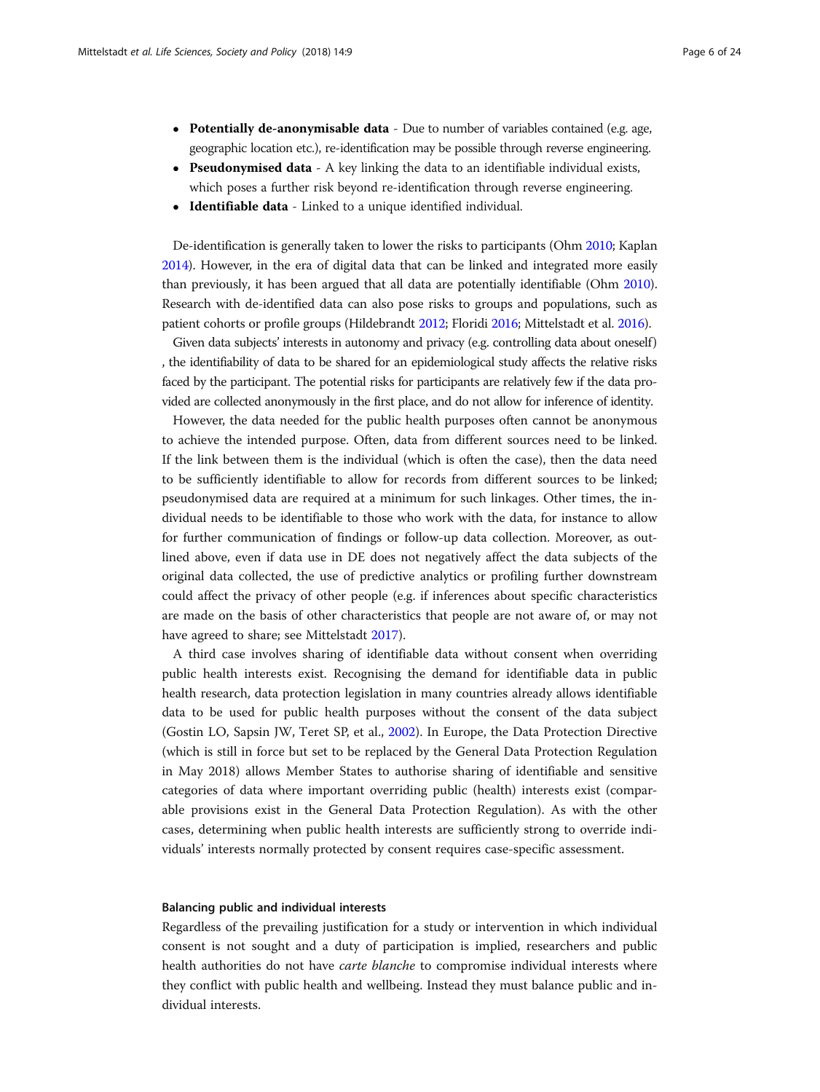- <span id="page-6-0"></span>• Potentially de-anonymisable data - Due to number of variables contained (e.g. age, geographic location etc.), re-identification may be possible through reverse engineering.
- Pseudonymised data A key linking the data to an identifiable individual exists, which poses a further risk beyond re-identification through reverse engineering.
- Identifiable data Linked to a unique identified individual.

De-identification is generally taken to lower the risks to participants (Ohm [2010;](#page-23-0) Kaplan [2014\)](#page-23-0). However, in the era of digital data that can be linked and integrated more easily than previously, it has been argued that all data are potentially identifiable (Ohm [2010](#page-23-0)). Research with de-identified data can also pose risks to groups and populations, such as patient cohorts or profile groups (Hildebrandt [2012;](#page-23-0) Floridi [2016](#page-23-0); Mittelstadt et al. [2016](#page-23-0)).

Given data subjects' interests in autonomy and privacy (e.g. controlling data about oneself) , the identifiability of data to be shared for an epidemiological study affects the relative risks faced by the participant. The potential risks for participants are relatively few if the data provided are collected anonymously in the first place, and do not allow for inference of identity.

However, the data needed for the public health purposes often cannot be anonymous to achieve the intended purpose. Often, data from different sources need to be linked. If the link between them is the individual (which is often the case), then the data need to be sufficiently identifiable to allow for records from different sources to be linked; pseudonymised data are required at a minimum for such linkages. Other times, the individual needs to be identifiable to those who work with the data, for instance to allow for further communication of findings or follow-up data collection. Moreover, as outlined above, even if data use in DE does not negatively affect the data subjects of the original data collected, the use of predictive analytics or profiling further downstream could affect the privacy of other people (e.g. if inferences about specific characteristics are made on the basis of other characteristics that people are not aware of, or may not have agreed to share; see Mittelstadt [2017](#page-23-0)).

A third case involves sharing of identifiable data without consent when overriding public health interests exist. Recognising the demand for identifiable data in public health research, data protection legislation in many countries already allows identifiable data to be used for public health purposes without the consent of the data subject (Gostin LO, Sapsin JW, Teret SP, et al., [2002\)](#page-23-0). In Europe, the Data Protection Directive (which is still in force but set to be replaced by the General Data Protection Regulation in May 2018) allows Member States to authorise sharing of identifiable and sensitive categories of data where important overriding public (health) interests exist (comparable provisions exist in the General Data Protection Regulation). As with the other cases, determining when public health interests are sufficiently strong to override individuals' interests normally protected by consent requires case-specific assessment.

#### Balancing public and individual interests

Regardless of the prevailing justification for a study or intervention in which individual consent is not sought and a duty of participation is implied, researchers and public health authorities do not have *carte blanche* to compromise individual interests where they conflict with public health and wellbeing. Instead they must balance public and individual interests.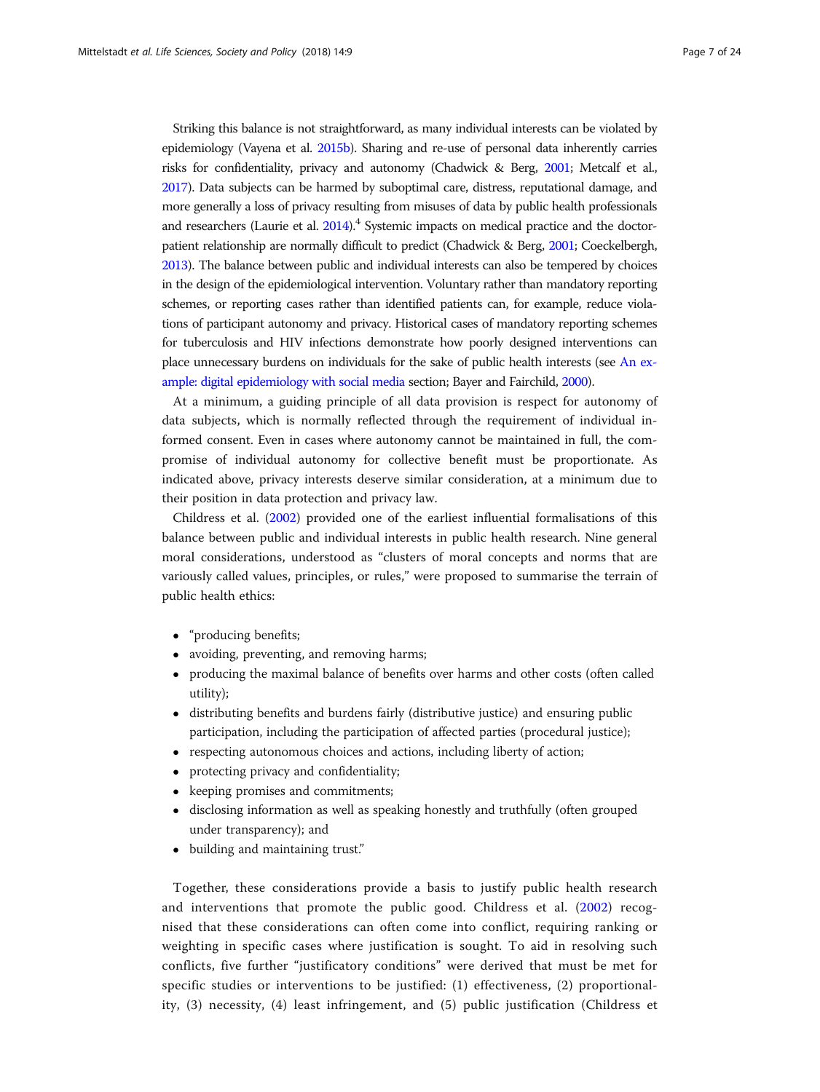Striking this balance is not straightforward, as many individual interests can be violated by epidemiology (Vayena et al. [2015b](#page-24-0)). Sharing and re-use of personal data inherently carries risks for confidentiality, privacy and autonomy (Chadwick & Berg, [2001](#page-22-0); Metcalf et al., [2017](#page-23-0)). Data subjects can be harmed by suboptimal care, distress, reputational damage, and more generally a loss of privacy resulting from misuses of data by public health professionals and researchers (Laurie et al.  $2014$ ).<sup>4</sup> Systemic impacts on medical practice and the doctorpatient relationship are normally difficult to predict (Chadwick & Berg, [2001](#page-22-0); Coeckelbergh, [2013](#page-23-0)). The balance between public and individual interests can also be tempered by choices in the design of the epidemiological intervention. Voluntary rather than mandatory reporting schemes, or reporting cases rather than identified patients can, for example, reduce violations of participant autonomy and privacy. Historical cases of mandatory reporting schemes for tuberculosis and HIV infections demonstrate how poorly designed interventions can place unnecessary burdens on individuals for the sake of public health interests (see [An ex](#page-15-0)[ample: digital epidemiology with social media](#page-15-0) section; Bayer and Fairchild, [2000](#page-22-0)).

At a minimum, a guiding principle of all data provision is respect for autonomy of data subjects, which is normally reflected through the requirement of individual informed consent. Even in cases where autonomy cannot be maintained in full, the compromise of individual autonomy for collective benefit must be proportionate. As indicated above, privacy interests deserve similar consideration, at a minimum due to their position in data protection and privacy law.

Childress et al. ([2002](#page-22-0)) provided one of the earliest influential formalisations of this balance between public and individual interests in public health research. Nine general moral considerations, understood as "clusters of moral concepts and norms that are variously called values, principles, or rules," were proposed to summarise the terrain of public health ethics:

- "producing benefits;
- avoiding, preventing, and removing harms;
- producing the maximal balance of benefits over harms and other costs (often called utility);
- distributing benefits and burdens fairly (distributive justice) and ensuring public participation, including the participation of affected parties (procedural justice);
- respecting autonomous choices and actions, including liberty of action;
- protecting privacy and confidentiality;
- keeping promises and commitments;
- disclosing information as well as speaking honestly and truthfully (often grouped under transparency); and
- building and maintaining trust."

Together, these considerations provide a basis to justify public health research and interventions that promote the public good. Childress et al. [\(2002\)](#page-22-0) recognised that these considerations can often come into conflict, requiring ranking or weighting in specific cases where justification is sought. To aid in resolving such conflicts, five further "justificatory conditions" were derived that must be met for specific studies or interventions to be justified: (1) effectiveness, (2) proportionality, (3) necessity, (4) least infringement, and (5) public justification (Childress et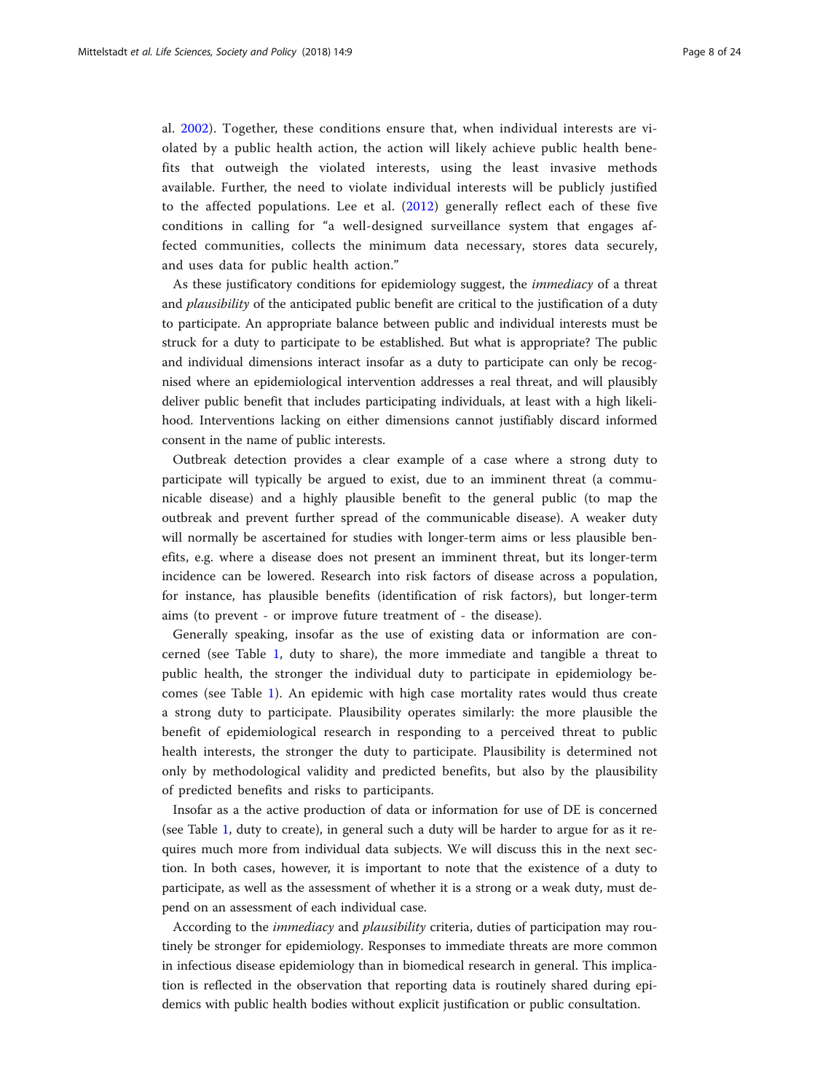al. [2002\)](#page-22-0). Together, these conditions ensure that, when individual interests are violated by a public health action, the action will likely achieve public health benefits that outweigh the violated interests, using the least invasive methods available. Further, the need to violate individual interests will be publicly justified to the affected populations. Lee et al. ([2012\)](#page-23-0) generally reflect each of these five conditions in calling for "a well-designed surveillance system that engages affected communities, collects the minimum data necessary, stores data securely, and uses data for public health action."

As these justificatory conditions for epidemiology suggest, the immediacy of a threat and *plausibility* of the anticipated public benefit are critical to the justification of a duty to participate. An appropriate balance between public and individual interests must be struck for a duty to participate to be established. But what is appropriate? The public and individual dimensions interact insofar as a duty to participate can only be recognised where an epidemiological intervention addresses a real threat, and will plausibly deliver public benefit that includes participating individuals, at least with a high likelihood. Interventions lacking on either dimensions cannot justifiably discard informed consent in the name of public interests.

Outbreak detection provides a clear example of a case where a strong duty to participate will typically be argued to exist, due to an imminent threat (a communicable disease) and a highly plausible benefit to the general public (to map the outbreak and prevent further spread of the communicable disease). A weaker duty will normally be ascertained for studies with longer-term aims or less plausible benefits, e.g. where a disease does not present an imminent threat, but its longer-term incidence can be lowered. Research into risk factors of disease across a population, for instance, has plausible benefits (identification of risk factors), but longer-term aims (to prevent - or improve future treatment of - the disease).

Generally speaking, insofar as the use of existing data or information are concerned (see Table [1](#page-3-0), duty to share), the more immediate and tangible a threat to public health, the stronger the individual duty to participate in epidemiology becomes (see Table [1\)](#page-3-0). An epidemic with high case mortality rates would thus create a strong duty to participate. Plausibility operates similarly: the more plausible the benefit of epidemiological research in responding to a perceived threat to public health interests, the stronger the duty to participate. Plausibility is determined not only by methodological validity and predicted benefits, but also by the plausibility of predicted benefits and risks to participants.

Insofar as a the active production of data or information for use of DE is concerned (see Table [1](#page-3-0), duty to create), in general such a duty will be harder to argue for as it requires much more from individual data subjects. We will discuss this in the next section. In both cases, however, it is important to note that the existence of a duty to participate, as well as the assessment of whether it is a strong or a weak duty, must depend on an assessment of each individual case.

According to the immediacy and plausibility criteria, duties of participation may routinely be stronger for epidemiology. Responses to immediate threats are more common in infectious disease epidemiology than in biomedical research in general. This implication is reflected in the observation that reporting data is routinely shared during epidemics with public health bodies without explicit justification or public consultation.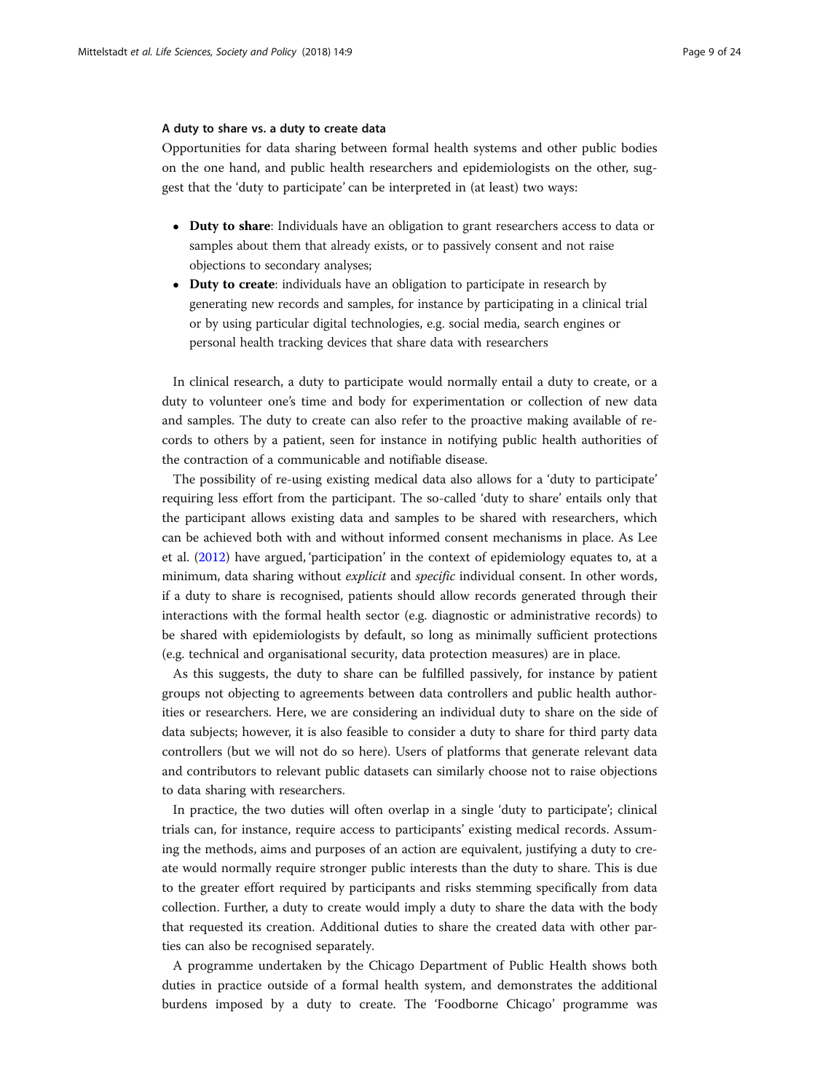#### <span id="page-9-0"></span>A duty to share vs. a duty to create data

Opportunities for data sharing between formal health systems and other public bodies on the one hand, and public health researchers and epidemiologists on the other, suggest that the 'duty to participate' can be interpreted in (at least) two ways:

- Duty to share: Individuals have an obligation to grant researchers access to data or samples about them that already exists, or to passively consent and not raise objections to secondary analyses;
- Duty to create: individuals have an obligation to participate in research by generating new records and samples, for instance by participating in a clinical trial or by using particular digital technologies, e.g. social media, search engines or personal health tracking devices that share data with researchers

In clinical research, a duty to participate would normally entail a duty to create, or a duty to volunteer one's time and body for experimentation or collection of new data and samples. The duty to create can also refer to the proactive making available of records to others by a patient, seen for instance in notifying public health authorities of the contraction of a communicable and notifiable disease.

The possibility of re-using existing medical data also allows for a 'duty to participate' requiring less effort from the participant. The so-called 'duty to share' entails only that the participant allows existing data and samples to be shared with researchers, which can be achieved both with and without informed consent mechanisms in place. As Lee et al. [\(2012\)](#page-23-0) have argued, 'participation' in the context of epidemiology equates to, at a minimum, data sharing without *explicit* and *specific* individual consent. In other words, if a duty to share is recognised, patients should allow records generated through their interactions with the formal health sector (e.g. diagnostic or administrative records) to be shared with epidemiologists by default, so long as minimally sufficient protections (e.g. technical and organisational security, data protection measures) are in place.

As this suggests, the duty to share can be fulfilled passively, for instance by patient groups not objecting to agreements between data controllers and public health authorities or researchers. Here, we are considering an individual duty to share on the side of data subjects; however, it is also feasible to consider a duty to share for third party data controllers (but we will not do so here). Users of platforms that generate relevant data and contributors to relevant public datasets can similarly choose not to raise objections to data sharing with researchers.

In practice, the two duties will often overlap in a single 'duty to participate'; clinical trials can, for instance, require access to participants' existing medical records. Assuming the methods, aims and purposes of an action are equivalent, justifying a duty to create would normally require stronger public interests than the duty to share. This is due to the greater effort required by participants and risks stemming specifically from data collection. Further, a duty to create would imply a duty to share the data with the body that requested its creation. Additional duties to share the created data with other parties can also be recognised separately.

A programme undertaken by the Chicago Department of Public Health shows both duties in practice outside of a formal health system, and demonstrates the additional burdens imposed by a duty to create. The 'Foodborne Chicago' programme was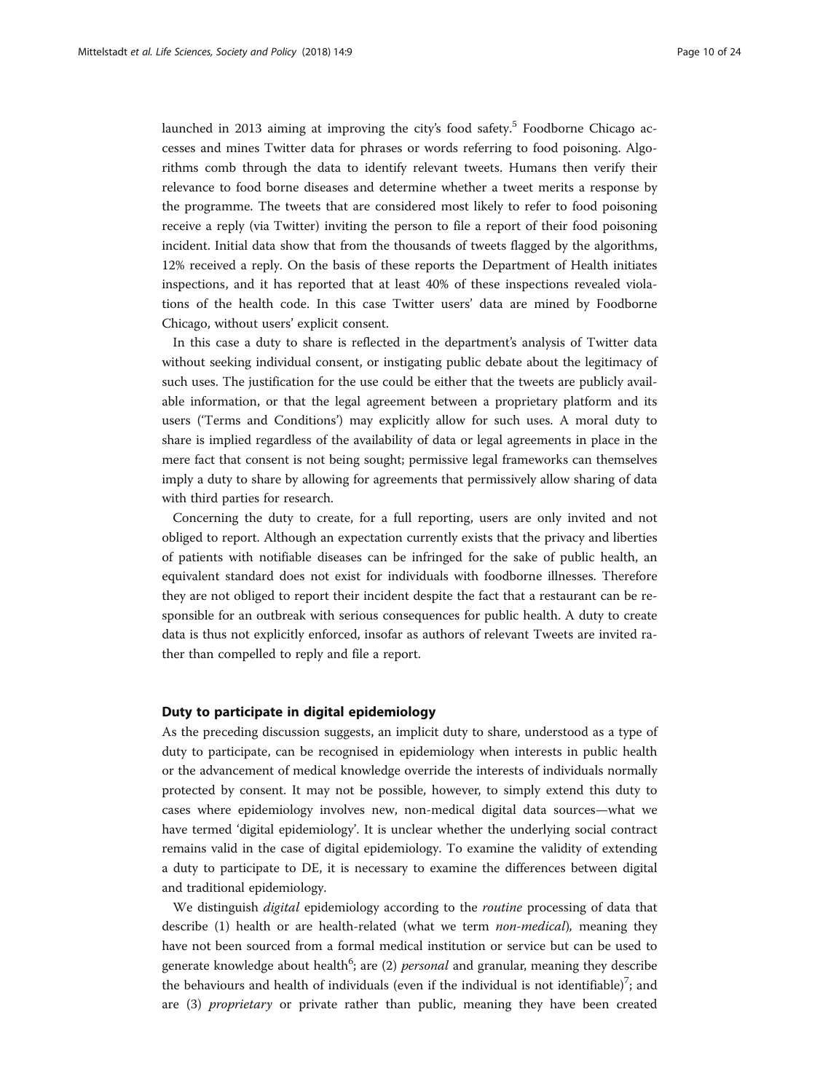<span id="page-10-0"></span>launched in 2013 aiming at improving the city's food safety.<sup>5</sup> Foodborne Chicago accesses and mines Twitter data for phrases or words referring to food poisoning. Algorithms comb through the data to identify relevant tweets. Humans then verify their relevance to food borne diseases and determine whether a tweet merits a response by the programme. The tweets that are considered most likely to refer to food poisoning receive a reply (via Twitter) inviting the person to file a report of their food poisoning incident. Initial data show that from the thousands of tweets flagged by the algorithms, 12% received a reply. On the basis of these reports the Department of Health initiates inspections, and it has reported that at least 40% of these inspections revealed violations of the health code. In this case Twitter users' data are mined by Foodborne Chicago, without users' explicit consent.

In this case a duty to share is reflected in the department's analysis of Twitter data without seeking individual consent, or instigating public debate about the legitimacy of such uses. The justification for the use could be either that the tweets are publicly available information, or that the legal agreement between a proprietary platform and its users ('Terms and Conditions') may explicitly allow for such uses. A moral duty to share is implied regardless of the availability of data or legal agreements in place in the mere fact that consent is not being sought; permissive legal frameworks can themselves imply a duty to share by allowing for agreements that permissively allow sharing of data with third parties for research.

Concerning the duty to create, for a full reporting, users are only invited and not obliged to report. Although an expectation currently exists that the privacy and liberties of patients with notifiable diseases can be infringed for the sake of public health, an equivalent standard does not exist for individuals with foodborne illnesses. Therefore they are not obliged to report their incident despite the fact that a restaurant can be responsible for an outbreak with serious consequences for public health. A duty to create data is thus not explicitly enforced, insofar as authors of relevant Tweets are invited rather than compelled to reply and file a report.

## Duty to participate in digital epidemiology

As the preceding discussion suggests, an implicit duty to share, understood as a type of duty to participate, can be recognised in epidemiology when interests in public health or the advancement of medical knowledge override the interests of individuals normally protected by consent. It may not be possible, however, to simply extend this duty to cases where epidemiology involves new, non-medical digital data sources—what we have termed 'digital epidemiology'. It is unclear whether the underlying social contract remains valid in the case of digital epidemiology. To examine the validity of extending a duty to participate to DE, it is necessary to examine the differences between digital and traditional epidemiology.

We distinguish *digital* epidemiology according to the *routine* processing of data that describe (1) health or are health-related (what we term *non-medical*), meaning they have not been sourced from a formal medical institution or service but can be used to generate knowledge about health<sup>6</sup>; are (2) *personal* and granular, meaning they describe the behaviours and health of individuals (even if the individual is not identifiable)<sup>7</sup>; and are (3) proprietary or private rather than public, meaning they have been created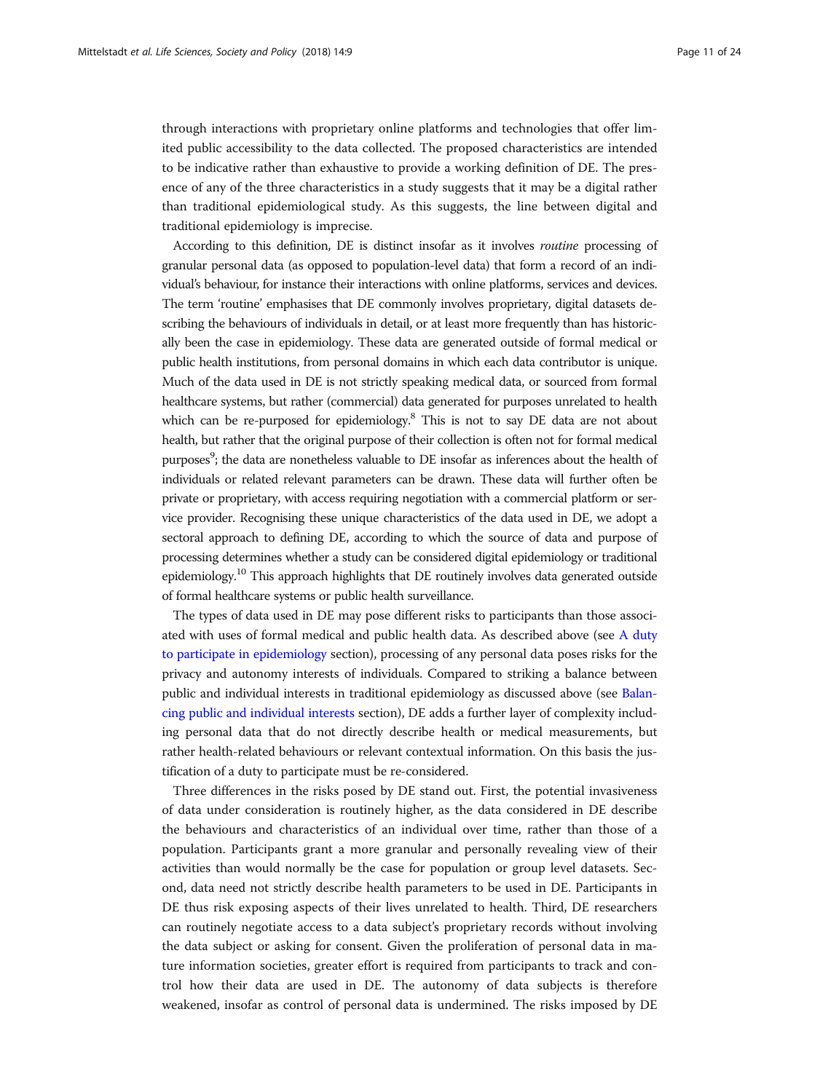through interactions with proprietary online platforms and technologies that offer limited public accessibility to the data collected. The proposed characteristics are intended to be indicative rather than exhaustive to provide a working definition of DE. The presence of any of the three characteristics in a study suggests that it may be a digital rather than traditional epidemiological study. As this suggests, the line between digital and traditional epidemiology is imprecise.

According to this definition, DE is distinct insofar as it involves routine processing of granular personal data (as opposed to population-level data) that form a record of an individual's behaviour, for instance their interactions with online platforms, services and devices. The term 'routine' emphasises that DE commonly involves proprietary, digital datasets describing the behaviours of individuals in detail, or at least more frequently than has historically been the case in epidemiology. These data are generated outside of formal medical or public health institutions, from personal domains in which each data contributor is unique. Much of the data used in DE is not strictly speaking medical data, or sourced from formal healthcare systems, but rather (commercial) data generated for purposes unrelated to health which can be re-purposed for epidemiology.<sup>8</sup> This is not to say DE data are not about health, but rather that the original purpose of their collection is often not for formal medical purposes<sup>9</sup>; the data are nonetheless valuable to DE insofar as inferences about the health of individuals or related relevant parameters can be drawn. These data will further often be private or proprietary, with access requiring negotiation with a commercial platform or service provider. Recognising these unique characteristics of the data used in DE, we adopt a sectoral approach to defining DE, according to which the source of data and purpose of processing determines whether a study can be considered digital epidemiology or traditional epidemiology.10 This approach highlights that DE routinely involves data generated outside of formal healthcare systems or public health surveillance.

The types of data used in DE may pose different risks to participants than those associated with uses of formal medical and public health data. As described above (see [A duty](#page-3-0) [to participate in epidemiology](#page-3-0) section), processing of any personal data poses risks for the privacy and autonomy interests of individuals. Compared to striking a balance between public and individual interests in traditional epidemiology as discussed above (see [Balan](#page-6-0)[cing public and individual interests](#page-6-0) section), DE adds a further layer of complexity including personal data that do not directly describe health or medical measurements, but rather health-related behaviours or relevant contextual information. On this basis the justification of a duty to participate must be re-considered.

Three differences in the risks posed by DE stand out. First, the potential invasiveness of data under consideration is routinely higher, as the data considered in DE describe the behaviours and characteristics of an individual over time, rather than those of a population. Participants grant a more granular and personally revealing view of their activities than would normally be the case for population or group level datasets. Second, data need not strictly describe health parameters to be used in DE. Participants in DE thus risk exposing aspects of their lives unrelated to health. Third, DE researchers can routinely negotiate access to a data subject's proprietary records without involving the data subject or asking for consent. Given the proliferation of personal data in mature information societies, greater effort is required from participants to track and control how their data are used in DE. The autonomy of data subjects is therefore weakened, insofar as control of personal data is undermined. The risks imposed by DE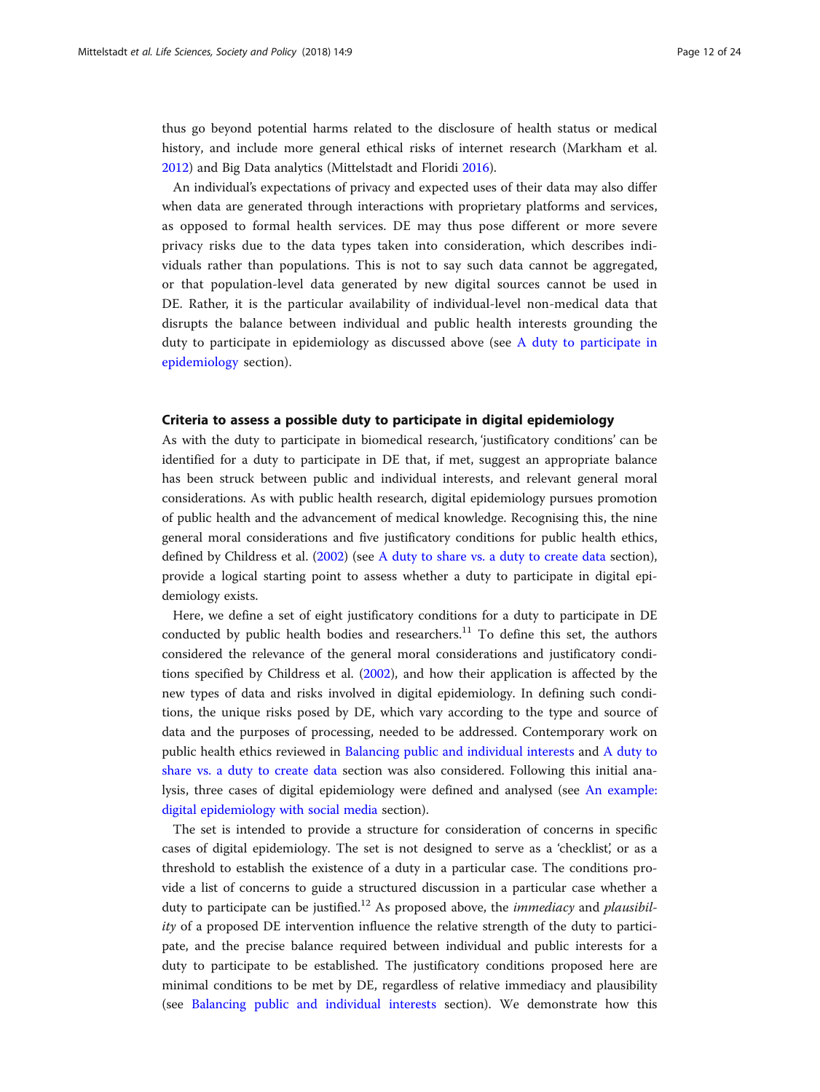<span id="page-12-0"></span>thus go beyond potential harms related to the disclosure of health status or medical history, and include more general ethical risks of internet research (Markham et al. [2012](#page-23-0)) and Big Data analytics (Mittelstadt and Floridi [2016\)](#page-23-0).

An individual's expectations of privacy and expected uses of their data may also differ when data are generated through interactions with proprietary platforms and services, as opposed to formal health services. DE may thus pose different or more severe privacy risks due to the data types taken into consideration, which describes individuals rather than populations. This is not to say such data cannot be aggregated, or that population-level data generated by new digital sources cannot be used in DE. Rather, it is the particular availability of individual-level non-medical data that disrupts the balance between individual and public health interests grounding the duty to participate in epidemiology as discussed above (see [A duty to participate in](#page-3-0) [epidemiology](#page-3-0) section).

## Criteria to assess a possible duty to participate in digital epidemiology

As with the duty to participate in biomedical research, 'justificatory conditions' can be identified for a duty to participate in DE that, if met, suggest an appropriate balance has been struck between public and individual interests, and relevant general moral considerations. As with public health research, digital epidemiology pursues promotion of public health and the advancement of medical knowledge. Recognising this, the nine general moral considerations and five justificatory conditions for public health ethics, defined by Childress et al. [\(2002\)](#page-22-0) (see [A duty to share vs. a duty to create data](#page-9-0) section), provide a logical starting point to assess whether a duty to participate in digital epidemiology exists.

Here, we define a set of eight justificatory conditions for a duty to participate in DE conducted by public health bodies and researchers.<sup>11</sup> To define this set, the authors considered the relevance of the general moral considerations and justificatory conditions specified by Childress et al. [\(2002\)](#page-22-0), and how their application is affected by the new types of data and risks involved in digital epidemiology. In defining such conditions, the unique risks posed by DE, which vary according to the type and source of data and the purposes of processing, needed to be addressed. Contemporary work on public health ethics reviewed in [Balancing public and individual interests](#page-6-0) and [A duty to](#page-9-0) [share vs. a duty to create data](#page-9-0) section was also considered. Following this initial analysis, three cases of digital epidemiology were defined and analysed (see [An example:](#page-15-0) [digital epidemiology with social media](#page-15-0) section).

The set is intended to provide a structure for consideration of concerns in specific cases of digital epidemiology. The set is not designed to serve as a 'checklist', or as a threshold to establish the existence of a duty in a particular case. The conditions provide a list of concerns to guide a structured discussion in a particular case whether a duty to participate can be justified.<sup>12</sup> As proposed above, the *immediacy* and *plausibil*ity of a proposed DE intervention influence the relative strength of the duty to participate, and the precise balance required between individual and public interests for a duty to participate to be established. The justificatory conditions proposed here are minimal conditions to be met by DE, regardless of relative immediacy and plausibility (see [Balancing public and individual interests](#page-6-0) section). We demonstrate how this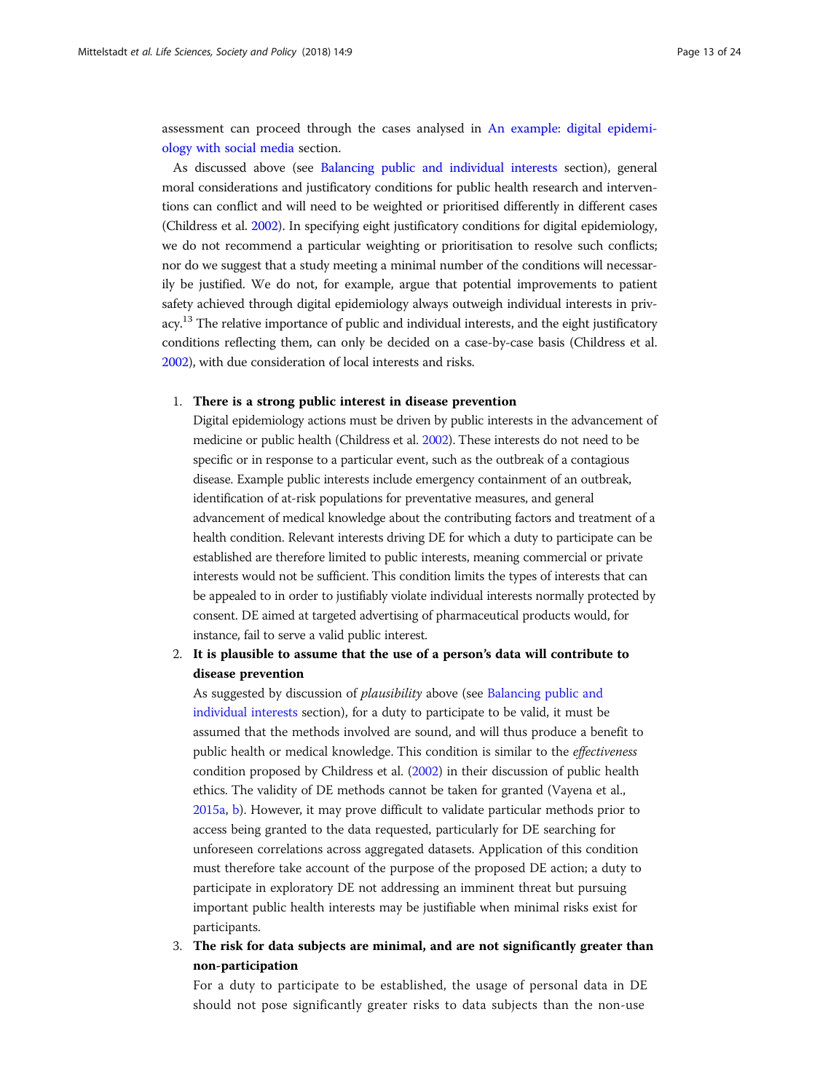assessment can proceed through the cases analysed in [An example: digital epidemi](#page-15-0)[ology with social media](#page-15-0) section.

As discussed above (see [Balancing public and individual interests](#page-6-0) section), general moral considerations and justificatory conditions for public health research and interventions can conflict and will need to be weighted or prioritised differently in different cases (Childress et al. [2002\)](#page-22-0). In specifying eight justificatory conditions for digital epidemiology, we do not recommend a particular weighting or prioritisation to resolve such conflicts; nor do we suggest that a study meeting a minimal number of the conditions will necessarily be justified. We do not, for example, argue that potential improvements to patient safety achieved through digital epidemiology always outweigh individual interests in privacy.<sup>13</sup> The relative importance of public and individual interests, and the eight justificatory conditions reflecting them, can only be decided on a case-by-case basis (Childress et al. [2002\)](#page-22-0), with due consideration of local interests and risks.

## 1. There is a strong public interest in disease prevention

Digital epidemiology actions must be driven by public interests in the advancement of medicine or public health (Childress et al. [2002\)](#page-22-0). These interests do not need to be specific or in response to a particular event, such as the outbreak of a contagious disease. Example public interests include emergency containment of an outbreak, identification of at-risk populations for preventative measures, and general advancement of medical knowledge about the contributing factors and treatment of a health condition. Relevant interests driving DE for which a duty to participate can be established are therefore limited to public interests, meaning commercial or private interests would not be sufficient. This condition limits the types of interests that can be appealed to in order to justifiably violate individual interests normally protected by consent. DE aimed at targeted advertising of pharmaceutical products would, for instance, fail to serve a valid public interest.

## 2. It is plausible to assume that the use of a person's data will contribute to disease prevention

As suggested by discussion of *plausibility* above (see [Balancing public and](#page-6-0) [individual interests](#page-6-0) section), for a duty to participate to be valid, it must be assumed that the methods involved are sound, and will thus produce a benefit to public health or medical knowledge. This condition is similar to the effectiveness condition proposed by Childress et al. [\(2002\)](#page-22-0) in their discussion of public health ethics. The validity of DE methods cannot be taken for granted (Vayena et al., [2015a,](#page-24-0) [b\)](#page-24-0). However, it may prove difficult to validate particular methods prior to access being granted to the data requested, particularly for DE searching for unforeseen correlations across aggregated datasets. Application of this condition must therefore take account of the purpose of the proposed DE action; a duty to participate in exploratory DE not addressing an imminent threat but pursuing important public health interests may be justifiable when minimal risks exist for participants.

## 3. The risk for data subjects are minimal, and are not significantly greater than non-participation

For a duty to participate to be established, the usage of personal data in DE should not pose significantly greater risks to data subjects than the non-use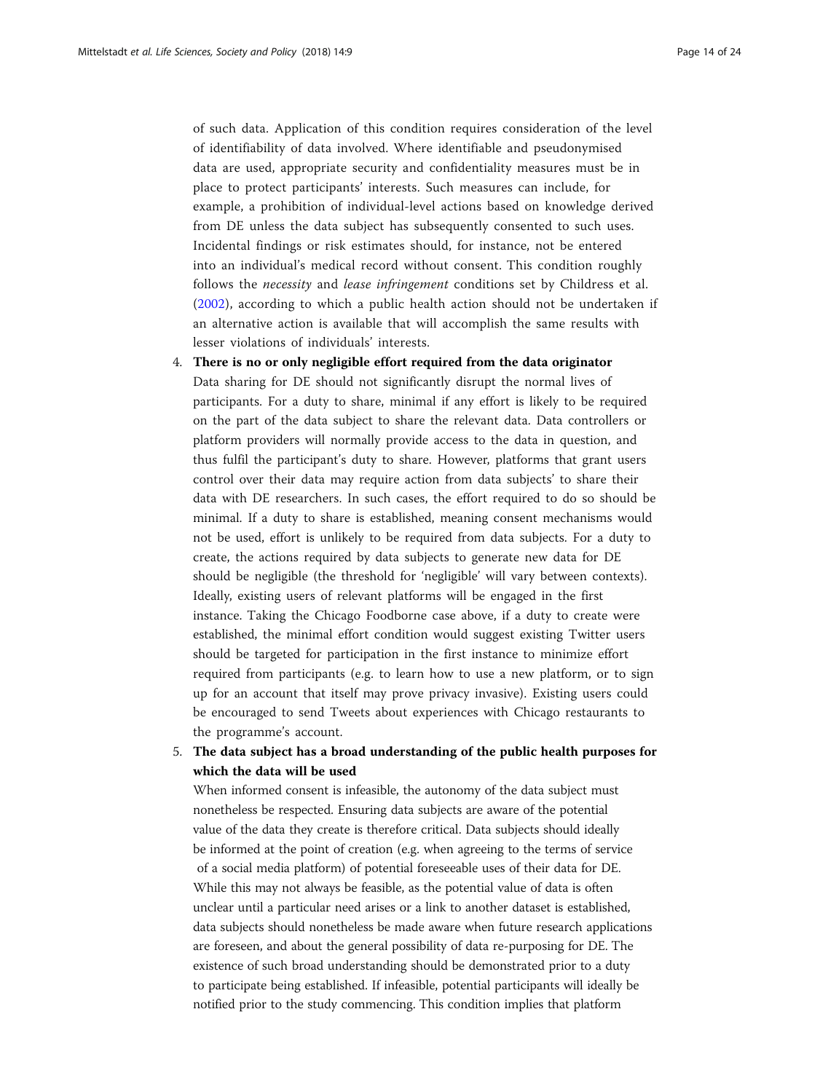of such data. Application of this condition requires consideration of the level of identifiability of data involved. Where identifiable and pseudonymised data are used, appropriate security and confidentiality measures must be in place to protect participants' interests. Such measures can include, for example, a prohibition of individual-level actions based on knowledge derived from DE unless the data subject has subsequently consented to such uses. Incidental findings or risk estimates should, for instance, not be entered into an individual's medical record without consent. This condition roughly follows the necessity and lease infringement conditions set by Childress et al. ([2002\)](#page-22-0), according to which a public health action should not be undertaken if an alternative action is available that will accomplish the same results with lesser violations of individuals' interests.

4. There is no or only negligible effort required from the data originator Data sharing for DE should not significantly disrupt the normal lives of participants. For a duty to share, minimal if any effort is likely to be required on the part of the data subject to share the relevant data. Data controllers or platform providers will normally provide access to the data in question, and thus fulfil the participant's duty to share. However, platforms that grant users control over their data may require action from data subjects' to share their data with DE researchers. In such cases, the effort required to do so should be minimal. If a duty to share is established, meaning consent mechanisms would not be used, effort is unlikely to be required from data subjects. For a duty to create, the actions required by data subjects to generate new data for DE should be negligible (the threshold for 'negligible' will vary between contexts). Ideally, existing users of relevant platforms will be engaged in the first instance. Taking the Chicago Foodborne case above, if a duty to create were established, the minimal effort condition would suggest existing Twitter users should be targeted for participation in the first instance to minimize effort required from participants (e.g. to learn how to use a new platform, or to sign up for an account that itself may prove privacy invasive). Existing users could be encouraged to send Tweets about experiences with Chicago restaurants to the programme's account.

## 5. The data subject has a broad understanding of the public health purposes for which the data will be used

When informed consent is infeasible, the autonomy of the data subject must nonetheless be respected. Ensuring data subjects are aware of the potential value of the data they create is therefore critical. Data subjects should ideally be informed at the point of creation (e.g. when agreeing to the terms of service of a social media platform) of potential foreseeable uses of their data for DE. While this may not always be feasible, as the potential value of data is often unclear until a particular need arises or a link to another dataset is established, data subjects should nonetheless be made aware when future research applications are foreseen, and about the general possibility of data re-purposing for DE. The existence of such broad understanding should be demonstrated prior to a duty to participate being established. If infeasible, potential participants will ideally be notified prior to the study commencing. This condition implies that platform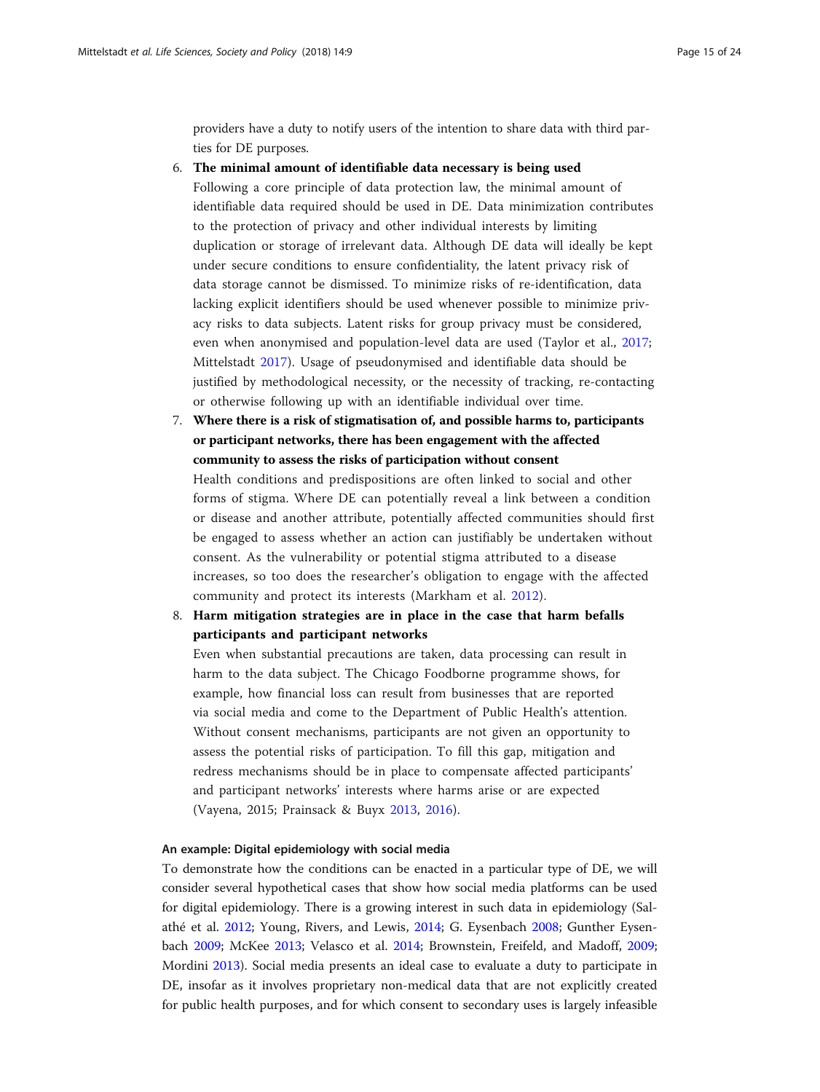<span id="page-15-0"></span>providers have a duty to notify users of the intention to share data with third parties for DE purposes.

## 6. The minimal amount of identifiable data necessary is being used

Following a core principle of data protection law, the minimal amount of identifiable data required should be used in DE. Data minimization contributes to the protection of privacy and other individual interests by limiting duplication or storage of irrelevant data. Although DE data will ideally be kept under secure conditions to ensure confidentiality, the latent privacy risk of data storage cannot be dismissed. To minimize risks of re-identification, data lacking explicit identifiers should be used whenever possible to minimize privacy risks to data subjects. Latent risks for group privacy must be considered, even when anonymised and population-level data are used (Taylor et al., [2017](#page-24-0); Mittelstadt [2017\)](#page-23-0). Usage of pseudonymised and identifiable data should be justified by methodological necessity, or the necessity of tracking, re-contacting or otherwise following up with an identifiable individual over time.

- 7. Where there is a risk of stigmatisation of, and possible harms to, participants or participant networks, there has been engagement with the affected community to assess the risks of participation without consent Health conditions and predispositions are often linked to social and other forms of stigma. Where DE can potentially reveal a link between a condition or disease and another attribute, potentially affected communities should first be engaged to assess whether an action can justifiably be undertaken without consent. As the vulnerability or potential stigma attributed to a disease increases, so too does the researcher's obligation to engage with the affected community and protect its interests (Markham et al. [2012\)](#page-23-0).
- 8. Harm mitigation strategies are in place in the case that harm befalls participants and participant networks

Even when substantial precautions are taken, data processing can result in harm to the data subject. The Chicago Foodborne programme shows, for example, how financial loss can result from businesses that are reported via social media and come to the Department of Public Health's attention. Without consent mechanisms, participants are not given an opportunity to assess the potential risks of participation. To fill this gap, mitigation and redress mechanisms should be in place to compensate affected participants' and participant networks' interests where harms arise or are expected (Vayena, 2015; Prainsack & Buyx [2013](#page-23-0), [2016\)](#page-23-0).

## An example: Digital epidemiology with social media

To demonstrate how the conditions can be enacted in a particular type of DE, we will consider several hypothetical cases that show how social media platforms can be used for digital epidemiology. There is a growing interest in such data in epidemiology (Salathé et al. [2012;](#page-23-0) Young, Rivers, and Lewis, [2014;](#page-24-0) G. Eysenbach [2008](#page-23-0); Gunther Eysenbach [2009;](#page-23-0) McKee [2013](#page-23-0); Velasco et al. [2014](#page-24-0); Brownstein, Freifeld, and Madoff, [2009](#page-22-0); Mordini [2013](#page-23-0)). Social media presents an ideal case to evaluate a duty to participate in DE, insofar as it involves proprietary non-medical data that are not explicitly created for public health purposes, and for which consent to secondary uses is largely infeasible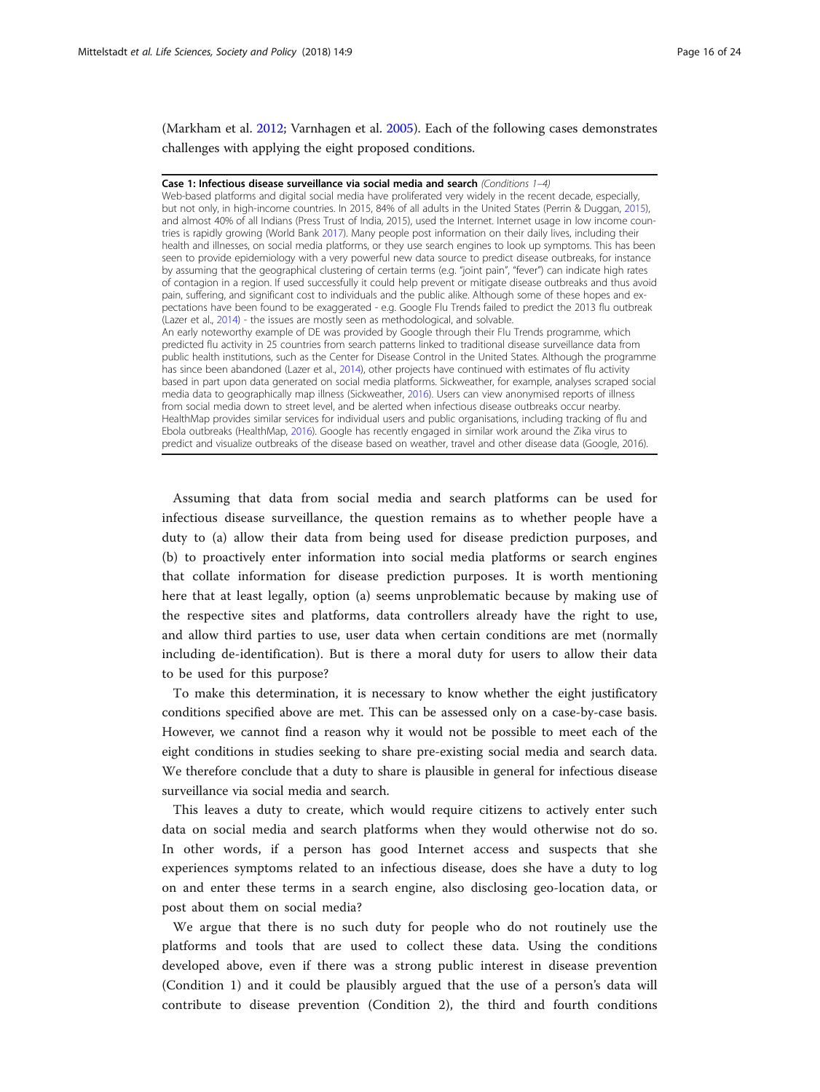(Markham et al. [2012](#page-23-0); Varnhagen et al. [2005](#page-24-0)). Each of the following cases demonstrates challenges with applying the eight proposed conditions.

#### Case 1: Infectious disease surveillance via social media and search (Conditions 1–4)

Web-based platforms and digital social media have proliferated very widely in the recent decade, especially, but not only, in high-income countries. In 2015, 84% of all adults in the United States (Perrin & Duggan, [2015](#page-23-0)), and almost 40% of all Indians (Press Trust of India, 2015), used the Internet. Internet usage in low income countries is rapidly growing (World Bank [2017](#page-24-0)). Many people post information on their daily lives, including their health and illnesses, on social media platforms, or they use search engines to look up symptoms. This has been seen to provide epidemiology with a very powerful new data source to predict disease outbreaks, for instance by assuming that the geographical clustering of certain terms (e.g. "joint pain", "fever") can indicate high rates of contagion in a region. If used successfully it could help prevent or mitigate disease outbreaks and thus avoid pain, suffering, and significant cost to individuals and the public alike. Although some of these hopes and expectations have been found to be exaggerated - e.g. Google Flu Trends failed to predict the 2013 flu outbreak (Lazer et al., [2014\)](#page-23-0) - the issues are mostly seen as methodological, and solvable. An early noteworthy example of DE was provided by Google through their Flu Trends programme, which predicted flu activity in 25 countries from search patterns linked to traditional disease surveillance data from public health institutions, such as the Center for Disease Control in the United States. Although the programme has since been abandoned (Lazer et al., [2014](#page-23-0)), other projects have continued with estimates of flu activity based in part upon data generated on social media platforms. Sickweather, for example, analyses scraped social media data to geographically map illness (Sickweather, [2016](#page-23-0)). Users can view anonymised reports of illness from social media down to street level, and be alerted when infectious disease outbreaks occur nearby. HealthMap provides similar services for individual users and public organisations, including tracking of flu and Ebola outbreaks (HealthMap, [2016\)](#page-23-0). Google has recently engaged in similar work around the Zika virus to predict and visualize outbreaks of the disease based on weather, travel and other disease data (Google, 2016).

Assuming that data from social media and search platforms can be used for infectious disease surveillance, the question remains as to whether people have a duty to (a) allow their data from being used for disease prediction purposes, and (b) to proactively enter information into social media platforms or search engines that collate information for disease prediction purposes. It is worth mentioning here that at least legally, option (a) seems unproblematic because by making use of the respective sites and platforms, data controllers already have the right to use, and allow third parties to use, user data when certain conditions are met (normally including de-identification). But is there a moral duty for users to allow their data to be used for this purpose?

To make this determination, it is necessary to know whether the eight justificatory conditions specified above are met. This can be assessed only on a case-by-case basis. However, we cannot find a reason why it would not be possible to meet each of the eight conditions in studies seeking to share pre-existing social media and search data. We therefore conclude that a duty to share is plausible in general for infectious disease surveillance via social media and search.

This leaves a duty to create, which would require citizens to actively enter such data on social media and search platforms when they would otherwise not do so. In other words, if a person has good Internet access and suspects that she experiences symptoms related to an infectious disease, does she have a duty to log on and enter these terms in a search engine, also disclosing geo-location data, or post about them on social media?

We argue that there is no such duty for people who do not routinely use the platforms and tools that are used to collect these data. Using the conditions developed above, even if there was a strong public interest in disease prevention (Condition 1) and it could be plausibly argued that the use of a person's data will contribute to disease prevention (Condition 2), the third and fourth conditions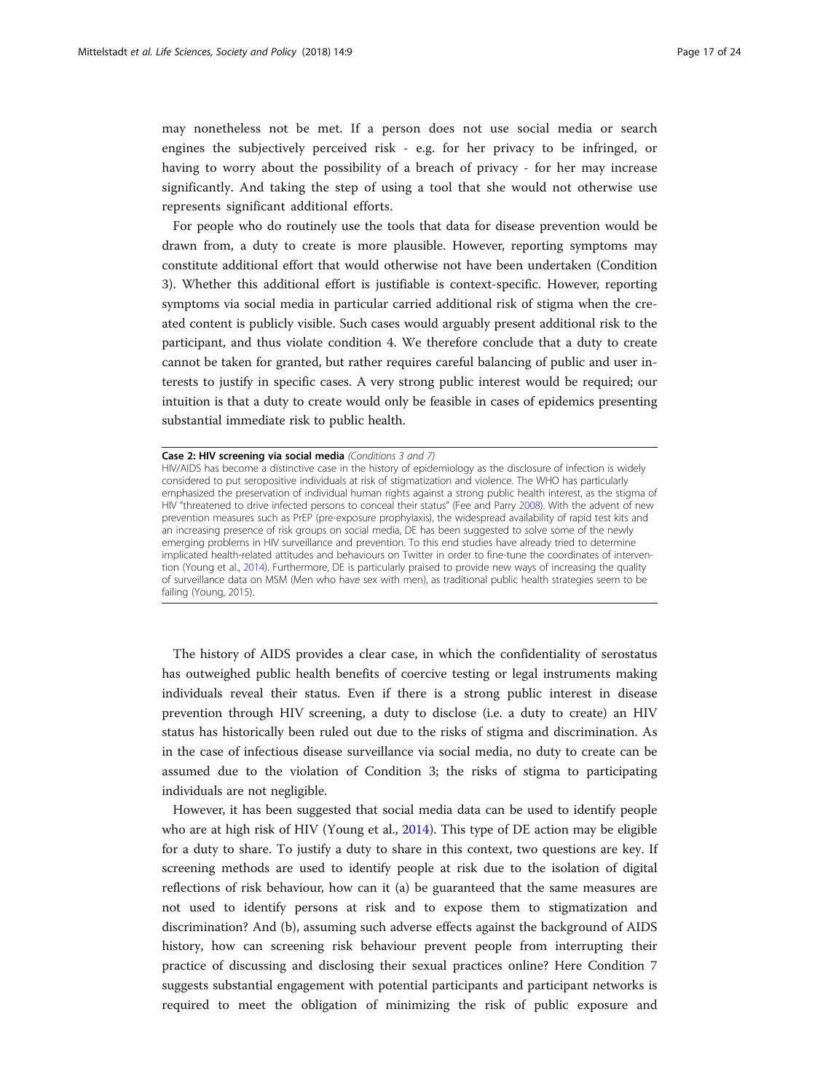may nonetheless not be met. If a person does not use social media or search engines the subjectively perceived risk - e.g. for her privacy to be infringed, or having to worry about the possibility of a breach of privacy - for her may increase significantly. And taking the step of using a tool that she would not otherwise use represents significant additional efforts.

For people who do routinely use the tools that data for disease prevention would be drawn from, a duty to create is more plausible. However, reporting symptoms may constitute additional effort that would otherwise not have been undertaken (Condition 3). Whether this additional effort is justifiable is context-specific. However, reporting symptoms via social media in particular carried additional risk of stigma when the created content is publicly visible. Such cases would arguably present additional risk to the participant, and thus violate condition 4. We therefore conclude that a duty to create cannot be taken for granted, but rather requires careful balancing of public and user interests to justify in specific cases. A very strong public interest would be required; our intuition is that a duty to create would only be feasible in cases of epidemics presenting substantial immediate risk to public health.

Case 2: HIV screening via social media (Conditions 3 and 7)

HIV/AIDS has become a distinctive case in the history of epidemiology as the disclosure of infection is widely considered to put seropositive individuals at risk of stigmatization and violence. The WHO has particularly emphasized the preservation of individual human rights against a strong public health interest, as the stigma of HIV "threatened to drive infected persons to conceal their status" (Fee and Parry [2008](#page-23-0)). With the advent of new prevention measures such as PrEP (pre-exposure prophylaxis), the widespread availability of rapid test kits and an increasing presence of risk groups on social media, DE has been suggested to solve some of the newly emerging problems in HIV surveillance and prevention. To this end studies have already tried to determine implicated health-related attitudes and behaviours on Twitter in order to fine-tune the coordinates of intervention (Young et al., [2014](#page-24-0)). Furthermore, DE is particularly praised to provide new ways of increasing the quality of surveillance data on MSM (Men who have sex with men), as traditional public health strategies seem to be failing (Young, 2015).

The history of AIDS provides a clear case, in which the confidentiality of serostatus has outweighed public health benefits of coercive testing or legal instruments making individuals reveal their status. Even if there is a strong public interest in disease prevention through HIV screening, a duty to disclose (i.e. a duty to create) an HIV status has historically been ruled out due to the risks of stigma and discrimination. As in the case of infectious disease surveillance via social media, no duty to create can be assumed due to the violation of Condition 3; the risks of stigma to participating individuals are not negligible.

However, it has been suggested that social media data can be used to identify people who are at high risk of HIV (Young et al., [2014\)](#page-24-0). This type of DE action may be eligible for a duty to share. To justify a duty to share in this context, two questions are key. If screening methods are used to identify people at risk due to the isolation of digital reflections of risk behaviour, how can it (a) be guaranteed that the same measures are not used to identify persons at risk and to expose them to stigmatization and discrimination? And (b), assuming such adverse effects against the background of AIDS history, how can screening risk behaviour prevent people from interrupting their practice of discussing and disclosing their sexual practices online? Here Condition 7 suggests substantial engagement with potential participants and participant networks is required to meet the obligation of minimizing the risk of public exposure and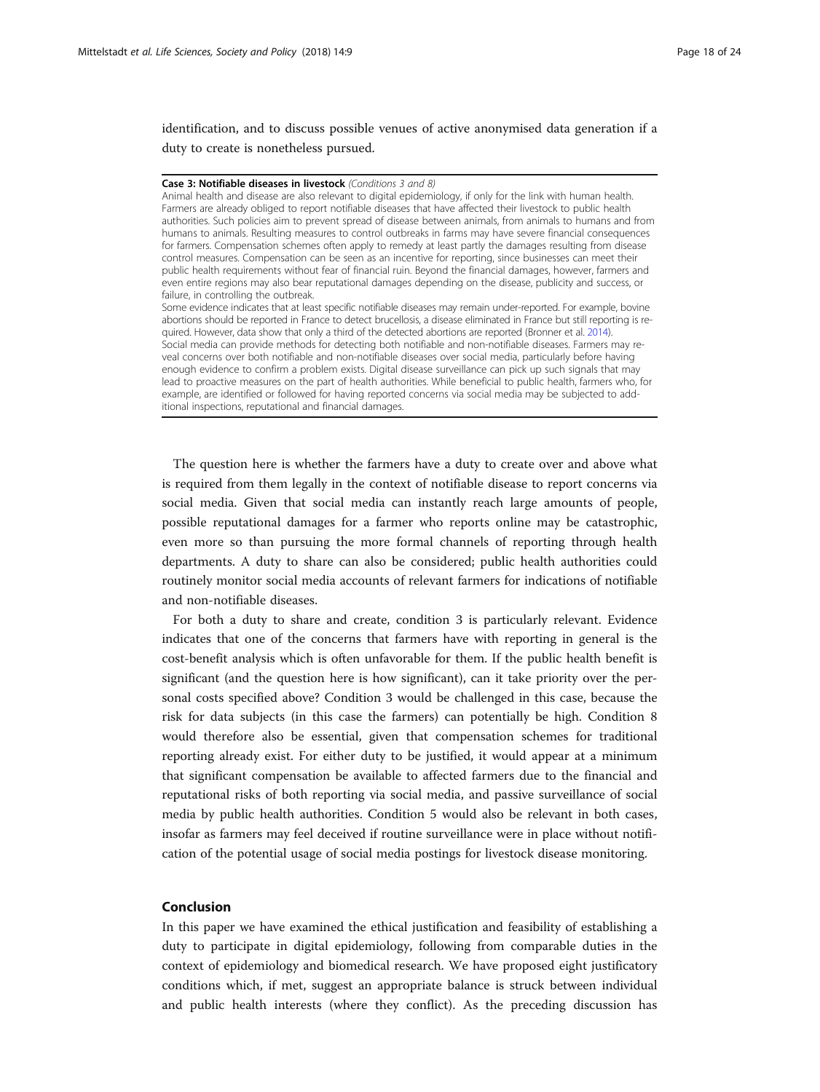<span id="page-18-0"></span>identification, and to discuss possible venues of active anonymised data generation if a duty to create is nonetheless pursued.

#### Case 3: Notifiable diseases in livestock (Conditions 3 and 8)

Animal health and disease are also relevant to digital epidemiology, if only for the link with human health. Farmers are already obliged to report notifiable diseases that have affected their livestock to public health authorities. Such policies aim to prevent spread of disease between animals, from animals to humans and from humans to animals. Resulting measures to control outbreaks in farms may have severe financial consequences for farmers. Compensation schemes often apply to remedy at least partly the damages resulting from disease control measures. Compensation can be seen as an incentive for reporting, since businesses can meet their public health requirements without fear of financial ruin. Beyond the financial damages, however, farmers and even entire regions may also bear reputational damages depending on the disease, publicity and success, or failure, in controlling the outbreak.

Some evidence indicates that at least specific notifiable diseases may remain under-reported. For example, bovine abortions should be reported in France to detect brucellosis, a disease eliminated in France but still reporting is required. However, data show that only a third of the detected abortions are reported (Bronner et al. [2014\)](#page-22-0). Social media can provide methods for detecting both notifiable and non-notifiable diseases. Farmers may reveal concerns over both notifiable and non-notifiable diseases over social media, particularly before having enough evidence to confirm a problem exists. Digital disease surveillance can pick up such signals that may lead to proactive measures on the part of health authorities. While beneficial to public health, farmers who, for example, are identified or followed for having reported concerns via social media may be subjected to additional inspections, reputational and financial damages.

The question here is whether the farmers have a duty to create over and above what is required from them legally in the context of notifiable disease to report concerns via social media. Given that social media can instantly reach large amounts of people, possible reputational damages for a farmer who reports online may be catastrophic, even more so than pursuing the more formal channels of reporting through health departments. A duty to share can also be considered; public health authorities could routinely monitor social media accounts of relevant farmers for indications of notifiable and non-notifiable diseases.

For both a duty to share and create, condition 3 is particularly relevant. Evidence indicates that one of the concerns that farmers have with reporting in general is the cost-benefit analysis which is often unfavorable for them. If the public health benefit is significant (and the question here is how significant), can it take priority over the personal costs specified above? Condition 3 would be challenged in this case, because the risk for data subjects (in this case the farmers) can potentially be high. Condition 8 would therefore also be essential, given that compensation schemes for traditional reporting already exist. For either duty to be justified, it would appear at a minimum that significant compensation be available to affected farmers due to the financial and reputational risks of both reporting via social media, and passive surveillance of social media by public health authorities. Condition 5 would also be relevant in both cases, insofar as farmers may feel deceived if routine surveillance were in place without notification of the potential usage of social media postings for livestock disease monitoring.

## Conclusion

In this paper we have examined the ethical justification and feasibility of establishing a duty to participate in digital epidemiology, following from comparable duties in the context of epidemiology and biomedical research. We have proposed eight justificatory conditions which, if met, suggest an appropriate balance is struck between individual and public health interests (where they conflict). As the preceding discussion has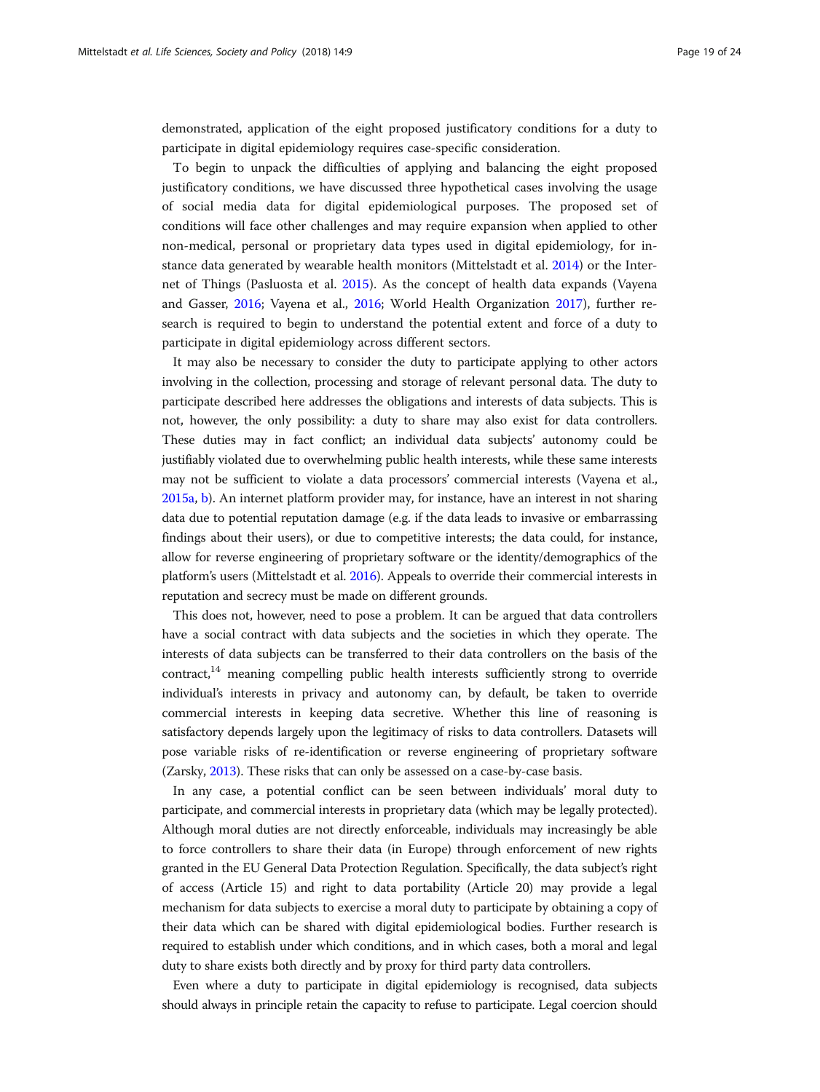demonstrated, application of the eight proposed justificatory conditions for a duty to participate in digital epidemiology requires case-specific consideration.

To begin to unpack the difficulties of applying and balancing the eight proposed justificatory conditions, we have discussed three hypothetical cases involving the usage of social media data for digital epidemiological purposes. The proposed set of conditions will face other challenges and may require expansion when applied to other non-medical, personal or proprietary data types used in digital epidemiology, for instance data generated by wearable health monitors (Mittelstadt et al. [2014\)](#page-23-0) or the Internet of Things (Pasluosta et al. [2015](#page-23-0)). As the concept of health data expands (Vayena and Gasser, [2016;](#page-24-0) Vayena et al., [2016;](#page-24-0) World Health Organization [2017](#page-24-0)), further research is required to begin to understand the potential extent and force of a duty to participate in digital epidemiology across different sectors.

It may also be necessary to consider the duty to participate applying to other actors involving in the collection, processing and storage of relevant personal data. The duty to participate described here addresses the obligations and interests of data subjects. This is not, however, the only possibility: a duty to share may also exist for data controllers. These duties may in fact conflict; an individual data subjects' autonomy could be justifiably violated due to overwhelming public health interests, while these same interests may not be sufficient to violate a data processors' commercial interests (Vayena et al., [2015a](#page-24-0), [b](#page-24-0)). An internet platform provider may, for instance, have an interest in not sharing data due to potential reputation damage (e.g. if the data leads to invasive or embarrassing findings about their users), or due to competitive interests; the data could, for instance, allow for reverse engineering of proprietary software or the identity/demographics of the platform's users (Mittelstadt et al. [2016](#page-23-0)). Appeals to override their commercial interests in reputation and secrecy must be made on different grounds.

This does not, however, need to pose a problem. It can be argued that data controllers have a social contract with data subjects and the societies in which they operate. The interests of data subjects can be transferred to their data controllers on the basis of the  $control<sup>14</sup>$  meaning compelling public health interests sufficiently strong to override individual's interests in privacy and autonomy can, by default, be taken to override commercial interests in keeping data secretive. Whether this line of reasoning is satisfactory depends largely upon the legitimacy of risks to data controllers. Datasets will pose variable risks of re-identification or reverse engineering of proprietary software (Zarsky, [2013\)](#page-24-0). These risks that can only be assessed on a case-by-case basis.

In any case, a potential conflict can be seen between individuals' moral duty to participate, and commercial interests in proprietary data (which may be legally protected). Although moral duties are not directly enforceable, individuals may increasingly be able to force controllers to share their data (in Europe) through enforcement of new rights granted in the EU General Data Protection Regulation. Specifically, the data subject's right of access (Article 15) and right to data portability (Article 20) may provide a legal mechanism for data subjects to exercise a moral duty to participate by obtaining a copy of their data which can be shared with digital epidemiological bodies. Further research is required to establish under which conditions, and in which cases, both a moral and legal duty to share exists both directly and by proxy for third party data controllers.

Even where a duty to participate in digital epidemiology is recognised, data subjects should always in principle retain the capacity to refuse to participate. Legal coercion should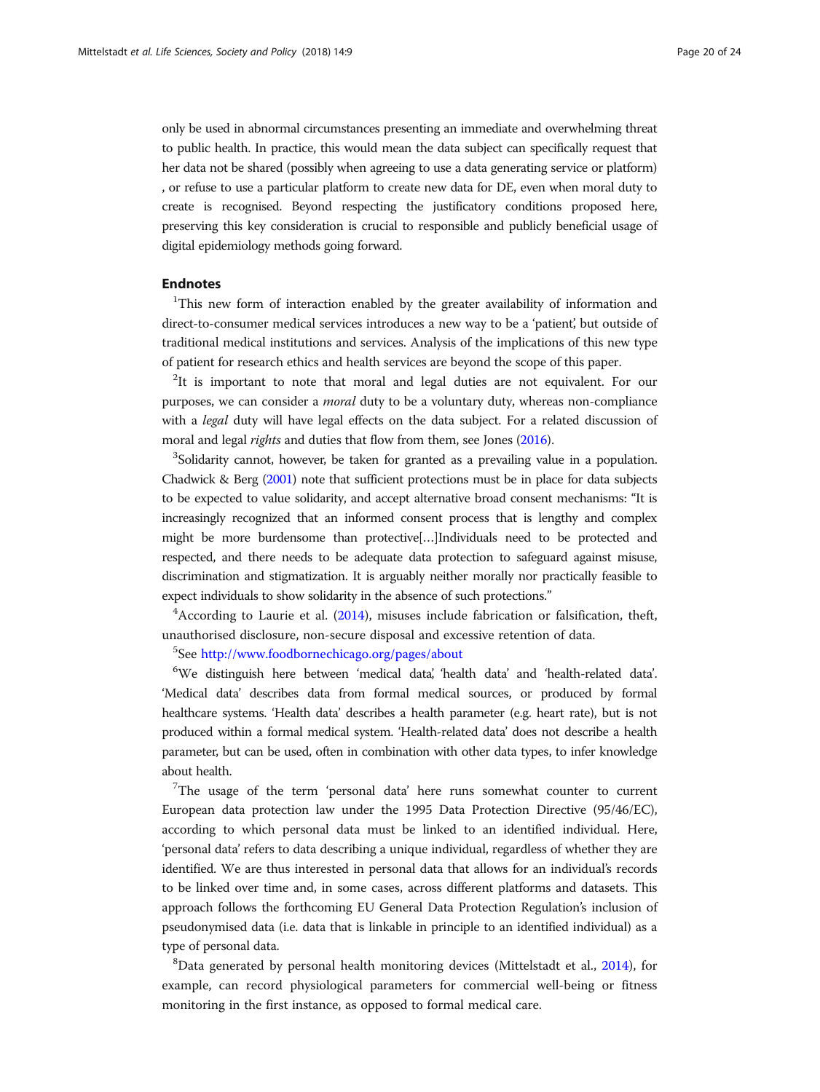only be used in abnormal circumstances presenting an immediate and overwhelming threat to public health. In practice, this would mean the data subject can specifically request that her data not be shared (possibly when agreeing to use a data generating service or platform) , or refuse to use a particular platform to create new data for DE, even when moral duty to create is recognised. Beyond respecting the justificatory conditions proposed here, preserving this key consideration is crucial to responsible and publicly beneficial usage of digital epidemiology methods going forward.

## Endnotes

<sup>1</sup>This new form of interaction enabled by the greater availability of information and direct-to-consumer medical services introduces a new way to be a 'patient', but outside of traditional medical institutions and services. Analysis of the implications of this new type of patient for research ethics and health services are beyond the scope of this paper.

 $2$ It is important to note that moral and legal duties are not equivalent. For our purposes, we can consider a moral duty to be a voluntary duty, whereas non-compliance with a *legal* duty will have legal effects on the data subject. For a related discussion of moral and legal rights and duties that flow from them, see Jones [\(2016](#page-23-0)).

<sup>3</sup>Solidarity cannot, however, be taken for granted as a prevailing value in a population. Chadwick & Berg ([2001\)](#page-22-0) note that sufficient protections must be in place for data subjects to be expected to value solidarity, and accept alternative broad consent mechanisms: "It is increasingly recognized that an informed consent process that is lengthy and complex might be more burdensome than protective[…]Individuals need to be protected and respected, and there needs to be adequate data protection to safeguard against misuse, discrimination and stigmatization. It is arguably neither morally nor practically feasible to expect individuals to show solidarity in the absence of such protections."

<sup>4</sup> According to Laurie et al. [\(2014\)](#page-23-0), misuses include fabrication or falsification, theft, unauthorised disclosure, non-secure disposal and excessive retention of data.

5 See <http://www.foodbornechicago.org/pages/about>

<sup>6</sup>We distinguish here between 'medical data', 'health data' and 'health-related data'. 'Medical data' describes data from formal medical sources, or produced by formal healthcare systems. 'Health data' describes a health parameter (e.g. heart rate), but is not produced within a formal medical system. 'Health-related data' does not describe a health parameter, but can be used, often in combination with other data types, to infer knowledge about health.

<sup>7</sup>The usage of the term 'personal data' here runs somewhat counter to current European data protection law under the 1995 Data Protection Directive (95/46/EC), according to which personal data must be linked to an identified individual. Here, 'personal data' refers to data describing a unique individual, regardless of whether they are identified. We are thus interested in personal data that allows for an individual's records to be linked over time and, in some cases, across different platforms and datasets. This approach follows the forthcoming EU General Data Protection Regulation's inclusion of pseudonymised data (i.e. data that is linkable in principle to an identified individual) as a type of personal data.

8 Data generated by personal health monitoring devices (Mittelstadt et al., [2014\)](#page-23-0), for example, can record physiological parameters for commercial well-being or fitness monitoring in the first instance, as opposed to formal medical care.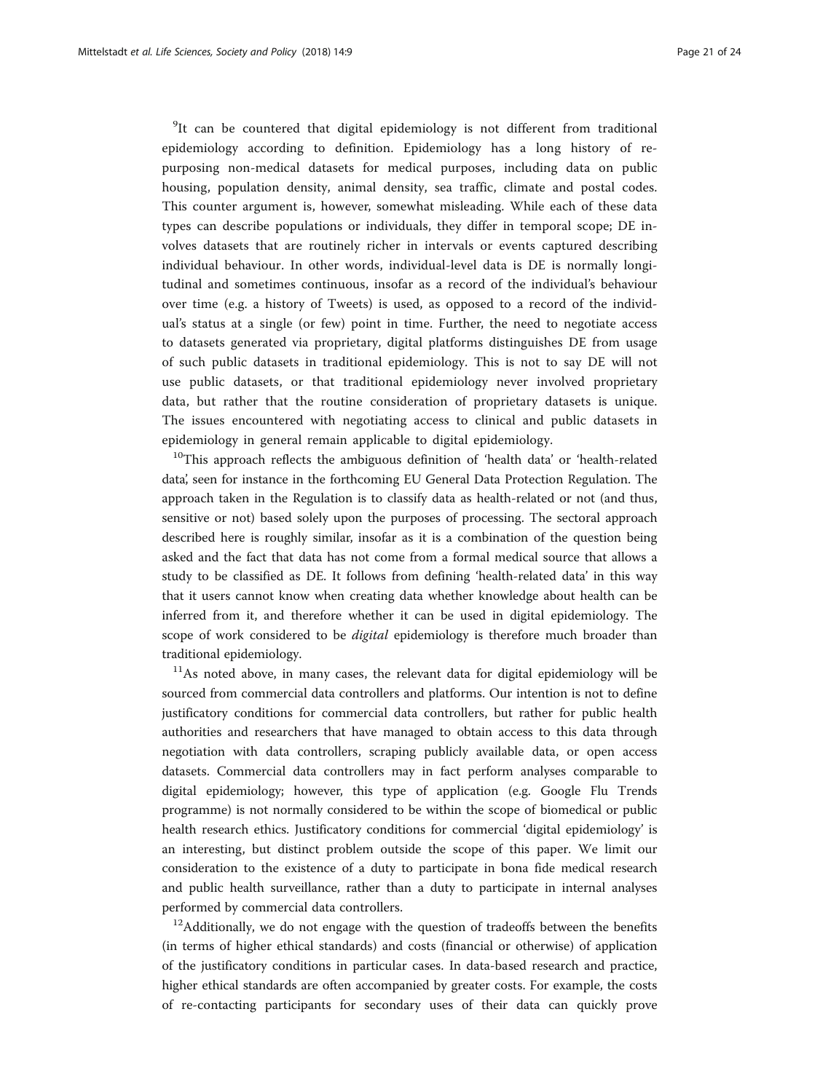<sup>9</sup>It can be countered that digital epidemiology is not different from traditional epidemiology according to definition. Epidemiology has a long history of repurposing non-medical datasets for medical purposes, including data on public housing, population density, animal density, sea traffic, climate and postal codes. This counter argument is, however, somewhat misleading. While each of these data types can describe populations or individuals, they differ in temporal scope; DE involves datasets that are routinely richer in intervals or events captured describing individual behaviour. In other words, individual-level data is DE is normally longitudinal and sometimes continuous, insofar as a record of the individual's behaviour over time (e.g. a history of Tweets) is used, as opposed to a record of the individual's status at a single (or few) point in time. Further, the need to negotiate access to datasets generated via proprietary, digital platforms distinguishes DE from usage of such public datasets in traditional epidemiology. This is not to say DE will not use public datasets, or that traditional epidemiology never involved proprietary data, but rather that the routine consideration of proprietary datasets is unique. The issues encountered with negotiating access to clinical and public datasets in epidemiology in general remain applicable to digital epidemiology.

<sup>10</sup>This approach reflects the ambiguous definition of 'health data' or 'health-related data', seen for instance in the forthcoming EU General Data Protection Regulation. The approach taken in the Regulation is to classify data as health-related or not (and thus, sensitive or not) based solely upon the purposes of processing. The sectoral approach described here is roughly similar, insofar as it is a combination of the question being asked and the fact that data has not come from a formal medical source that allows a study to be classified as DE. It follows from defining 'health-related data' in this way that it users cannot know when creating data whether knowledge about health can be inferred from it, and therefore whether it can be used in digital epidemiology. The scope of work considered to be *digital* epidemiology is therefore much broader than traditional epidemiology.

 $11$ As noted above, in many cases, the relevant data for digital epidemiology will be sourced from commercial data controllers and platforms. Our intention is not to define justificatory conditions for commercial data controllers, but rather for public health authorities and researchers that have managed to obtain access to this data through negotiation with data controllers, scraping publicly available data, or open access datasets. Commercial data controllers may in fact perform analyses comparable to digital epidemiology; however, this type of application (e.g. Google Flu Trends programme) is not normally considered to be within the scope of biomedical or public health research ethics. Justificatory conditions for commercial 'digital epidemiology' is an interesting, but distinct problem outside the scope of this paper. We limit our consideration to the existence of a duty to participate in bona fide medical research and public health surveillance, rather than a duty to participate in internal analyses performed by commercial data controllers.

<sup>12</sup>Additionally, we do not engage with the question of tradeoffs between the benefits (in terms of higher ethical standards) and costs (financial or otherwise) of application of the justificatory conditions in particular cases. In data-based research and practice, higher ethical standards are often accompanied by greater costs. For example, the costs of re-contacting participants for secondary uses of their data can quickly prove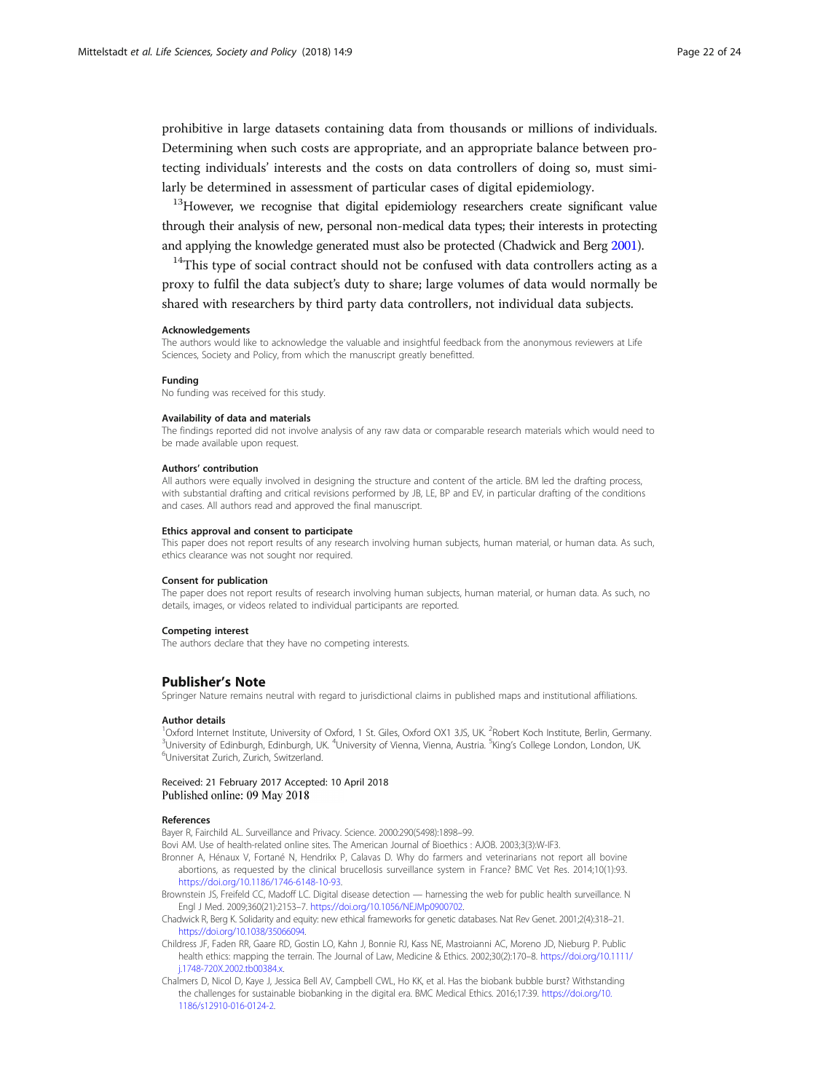<span id="page-22-0"></span>prohibitive in large datasets containing data from thousands or millions of individuals. Determining when such costs are appropriate, and an appropriate balance between protecting individuals' interests and the costs on data controllers of doing so, must similarly be determined in assessment of particular cases of digital epidemiology.

<sup>13</sup>However, we recognise that digital epidemiology researchers create significant value through their analysis of new, personal non-medical data types; their interests in protecting and applying the knowledge generated must also be protected (Chadwick and Berg 2001).

 $14$ This type of social contract should not be confused with data controllers acting as a proxy to fulfil the data subject's duty to share; large volumes of data would normally be shared with researchers by third party data controllers, not individual data subjects.

#### Acknowledgements

The authors would like to acknowledge the valuable and insightful feedback from the anonymous reviewers at Life Sciences, Society and Policy, from which the manuscript greatly benefitted.

#### Funding

No funding was received for this study.

#### Availability of data and materials

The findings reported did not involve analysis of any raw data or comparable research materials which would need to be made available upon request.

#### Authors' contribution

All authors were equally involved in designing the structure and content of the article. BM led the drafting process, with substantial drafting and critical revisions performed by JB, LE, BP and EV, in particular drafting of the conditions and cases. All authors read and approved the final manuscript.

#### Ethics approval and consent to participate

This paper does not report results of any research involving human subjects, human material, or human data. As such, ethics clearance was not sought nor required.

#### Consent for publication

The paper does not report results of research involving human subjects, human material, or human data. As such, no details, images, or videos related to individual participants are reported.

#### Competing interest

The authors declare that they have no competing interests.

#### Publisher's Note

Springer Nature remains neutral with regard to jurisdictional claims in published maps and institutional affiliations.

#### Author details

<sup>1</sup> Oxford Internet Institute, University of Oxford, 1 St. Giles, Oxford OX1 3JS, UK. <sup>2</sup>Robert Koch Institute, Berlin, Germany.<br><sup>3</sup>University of Edinburgh, Edinburgh, UK. <sup>4</sup>University of Vienna Nienna Austria. <sup>5</sup>King's <sup>3</sup>University of Edinburgh, Edinburgh, UK. <sup>4</sup>University of Vienna, Vienna, Austria. <sup>5</sup>King's College London, London, UK<br><sup>6</sup>Universityt Zurich, Zurich, Switzerland Universitat Zurich, Zurich, Switzerland.

#### Received: 21 February 2017 Accepted: 10 April 2018 Published online: 09 May 2018

#### References

Bayer R, Fairchild AL. Surveillance and Privacy. Science. 2000:290(5498):1898–99.

- Bovi AM. Use of health-related online sites. The American Journal of Bioethics : AJOB. 2003;3(3):W-IF3.
- Bronner A, Hénaux V, Fortané N, Hendrikx P, Calavas D. Why do farmers and veterinarians not report all bovine abortions, as requested by the clinical brucellosis surveillance system in France? BMC Vet Res. 2014;10(1):93. [https://doi.org/10.1186/1746-6148-10-93.](https://doi.org/10.1186/1746-6148-10-93)
- Brownstein JS, Freifeld CC, Madoff LC. Digital disease detection harnessing the web for public health surveillance. N Engl J Med. 2009;360(21):2153–7. <https://doi.org/10.1056/NEJMp0900702>.
- Chadwick R, Berg K. Solidarity and equity: new ethical frameworks for genetic databases. Nat Rev Genet. 2001;2(4):318–21. <https://doi.org/10.1038/35066094>.
- Childress JF, Faden RR, Gaare RD, Gostin LO, Kahn J, Bonnie RJ, Kass NE, Mastroianni AC, Moreno JD, Nieburg P. Public health ethics: mapping the terrain. The Journal of Law, Medicine & Ethics. 2002;30(2):170–8. [https://doi.org/10.1111/](https://doi.org/10.1111/j.1748-720X.2002.tb00384.x) [j.1748-720X.2002.tb00384.x](https://doi.org/10.1111/j.1748-720X.2002.tb00384.x).
- Chalmers D, Nicol D, Kaye J, Jessica Bell AV, Campbell CWL, Ho KK, et al. Has the biobank bubble burst? Withstanding the challenges for sustainable biobanking in the digital era. BMC Medical Ethics. 2016;17:39. [https://doi.org/10.](https://doi.org/10.1186/s12910-016-0124-2) [1186/s12910-016-0124-2.](https://doi.org/10.1186/s12910-016-0124-2)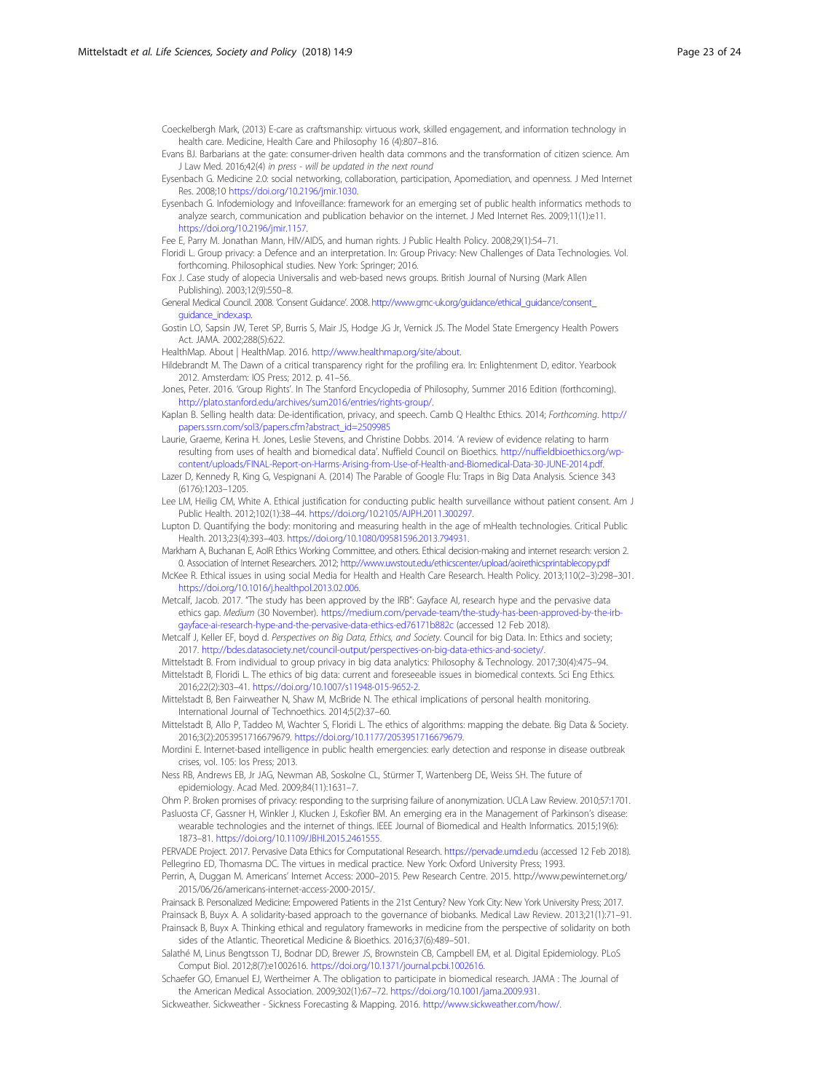<span id="page-23-0"></span>Coeckelbergh Mark, (2013) E-care as craftsmanship: virtuous work, skilled engagement, and information technology in health care. Medicine, Health Care and Philosophy 16 (4):807–816.

- Evans BJ. Barbarians at the gate: consumer-driven health data commons and the transformation of citizen science. Am J Law Med. 2016;42(4) in press - will be updated in the next round
- Eysenbach G. Medicine 2.0: social networking, collaboration, participation, Apomediation, and openness. J Med Internet Res. 2008;10 <https://doi.org/10.2196/jmir.1030>.
- Eysenbach G. Infodemiology and Infoveillance: framework for an emerging set of public health informatics methods to analyze search, communication and publication behavior on the internet. J Med Internet Res. 2009;11(1):e11. [https://doi.org/10.2196/jmir.1157.](https://doi.org/10.2196/jmir.1157)

Fee E, Parry M. Jonathan Mann, HIV/AIDS, and human rights. J Public Health Policy. 2008;29(1):54–71.

- Floridi L. Group privacy: a Defence and an interpretation. In: Group Privacy: New Challenges of Data Technologies. Vol. forthcoming. Philosophical studies. New York: Springer; 2016.
- Fox J. Case study of alopecia Universalis and web-based news groups. British Journal of Nursing (Mark Allen Publishing). 2003;12(9):550–8.
- General Medical Council. 2008. 'Consent Guidance'. 2008. [http://www.gmc-uk.org/guidance/ethical\\_guidance/consent\\_](http://www.gmc-uk.org/guidance/ethical_guidance/consent_guidance_index.asp) [guidance\\_index.asp](http://www.gmc-uk.org/guidance/ethical_guidance/consent_guidance_index.asp).
- Gostin LO, Sapsin JW, Teret SP, Burris S, Mair JS, Hodge JG Jr, Vernick JS. The Model State Emergency Health Powers Act. JAMA. 2002;288(5):622.

HealthMap. About | HealthMap. 2016. <http://www.healthmap.org/site/about>.

Hildebrandt M. The Dawn of a critical transparency right for the profiling era. In: Enlightenment D, editor. Yearbook 2012. Amsterdam: IOS Press; 2012. p. 41–56.

Jones, Peter. 2016. 'Group Rights'. In The Stanford Encyclopedia of Philosophy, Summer 2016 Edition (forthcoming). [http://plato.stanford.edu/archives/sum2016/entries/rights-group/.](http://plato.stanford.edu/archives/sum2016/entries/rights-group/)

- Kaplan B. Selling health data: De-identification, privacy, and speech. Camb Q Healthc Ethics. 2014; Forthcoming. [http://](http://papers.ssrn.com/sol3/papers.cfm?abstract_id=2509985) [papers.ssrn.com/sol3/papers.cfm?abstract\\_id=2509985](http://papers.ssrn.com/sol3/papers.cfm?abstract_id=2509985)
- Laurie, Graeme, Kerina H. Jones, Leslie Stevens, and Christine Dobbs. 2014. 'A review of evidence relating to harm resulting from uses of health and biomedical data'. Nuffield Council on Bioethics. [http://nuffieldbioethics.org/wp](http://nuffieldbioethics.org/wp-content/uploads/FINAL-Report-on-Harms-Arising-from-Use-of-Health-and-Biomedical-Data-30-JUNE-2014.pdf)[content/uploads/FINAL-Report-on-Harms-Arising-from-Use-of-Health-and-Biomedical-Data-30-JUNE-2014.pdf.](http://nuffieldbioethics.org/wp-content/uploads/FINAL-Report-on-Harms-Arising-from-Use-of-Health-and-Biomedical-Data-30-JUNE-2014.pdf)
- Lazer D, Kennedy R, King G, Vespignani A. (2014) The Parable of Google Flu: Traps in Big Data Analysis. Science 343 (6176):1203–1205.
- Lee LM, Heilig CM, White A. Ethical justification for conducting public health surveillance without patient consent. Am J Public Health. 2012;102(1):38–44. <https://doi.org/10.2105/AJPH.2011.300297>.
- Lupton D. Quantifying the body: monitoring and measuring health in the age of mHealth technologies. Critical Public Health. 2013;23(4):393–403. [https://doi.org/10.1080/09581596.2013.794931.](https://doi.org/10.1080/09581596.2013.794931)
- Markham A, Buchanan E, AoIR Ethics Working Committee, and others. Ethical decision-making and internet research: version 2. 0. Association of Internet Researchers. 2012; <http://www.uwstout.edu/ethicscenter/upload/aoirethicsprintablecopy.pdf>
- McKee R. Ethical issues in using social Media for Health and Health Care Research. Health Policy. 2013;110(2–3):298–301. [https://doi.org/10.1016/j.healthpol.2013.02.006.](https://doi.org/10.1016/j.healthpol.2013.02.006)

Metcalf, Jacob. 2017. "The study has been approved by the IRB": Gayface AI, research hype and the pervasive data ethics gap. Medium (30 November). [https://medium.com/pervade-team/the-study-has-been-approved-by-the-irb](https://medium.com/pervade-team/the-study-has-been-approved-by-the-irb-gayface-ai-research-hype-and-the-pervasive-data-ethics-ed76171b882c)[gayface-ai-research-hype-and-the-pervasive-data-ethics-ed76171b882c](https://medium.com/pervade-team/the-study-has-been-approved-by-the-irb-gayface-ai-research-hype-and-the-pervasive-data-ethics-ed76171b882c) (accessed 12 Feb 2018).

Metcalf J, Keller EF, boyd d. Perspectives on Big Data, Ethics, and Society. Council for big Data. In: Ethics and society; 2017. <http://bdes.datasociety.net/council-output/perspectives-on-big-data-ethics-and-society/>.

Mittelstadt B. From individual to group privacy in big data analytics: Philosophy & Technology. 2017;30(4):475–94.

Mittelstadt B, Floridi L. The ethics of big data: current and foreseeable issues in biomedical contexts. Sci Eng Ethics. 2016;22(2):303–41. [https://doi.org/10.1007/s11948-015-9652-2.](https://doi.org/10.1007/s11948-015-9652-2)

Mittelstadt B, Ben Fairweather N, Shaw M, McBride N. The ethical implications of personal health monitoring. International Journal of Technoethics. 2014;5(2):37–60.

Mittelstadt B, Allo P, Taddeo M, Wachter S, Floridi L. The ethics of algorithms: mapping the debate. Big Data & Society. 2016;3(2):2053951716679679. [https://doi.org/10.1177/2053951716679679.](https://doi.org/10.1177/2053951716679679)

Mordini E. Internet-based intelligence in public health emergencies: early detection and response in disease outbreak crises, vol. 105: Ios Press; 2013.

Ness RB, Andrews EB, Jr JAG, Newman AB, Soskolne CL, Stürmer T, Wartenberg DE, Weiss SH. The future of epidemiology. Acad Med. 2009;84(11):1631–7.

Ohm P. Broken promises of privacy: responding to the surprising failure of anonymization. UCLA Law Review. 2010;57:1701.

Pasluosta CF, Gassner H, Winkler J, Klucken J, Eskofier BM. An emerging era in the Management of Parkinson's disease: wearable technologies and the internet of things. IEEE Journal of Biomedical and Health Informatics. 2015;19(6): 1873–81. <https://doi.org/10.1109/JBHI.2015.2461555>.

PERVADE Project. 2017. Pervasive Data Ethics for Computational Research. <https://pervade.umd.edu> (accessed 12 Feb 2018). Pellegrino ED, Thomasma DC. The virtues in medical practice. New York: Oxford University Press; 1993.

Perrin, A, Duggan M. Americans' Internet Access: 2000–2015. Pew Research Centre. 2015. http://www.pewinternet.org/ 2015/06/26/americans-internet-access-2000-2015/.

Prainsack B. Personalized Medicine: Empowered Patients in the 21st Century? New York City: New York University Press; 2017.

Prainsack B, Buyx A. A solidarity-based approach to the governance of biobanks. Medical Law Review. 2013;21(1):71–91. Prainsack B, Buyx A. Thinking ethical and regulatory frameworks in medicine from the perspective of solidarity on both sides of the Atlantic. Theoretical Medicine & Bioethics. 2016;37(6):489–501.

Salathé M, Linus Bengtsson TJ, Bodnar DD, Brewer JS, Brownstein CB, Campbell EM, et al. Digital Epidemiology. PLoS Comput Biol. 2012;8(7):e1002616. <https://doi.org/10.1371/journal.pcbi.1002616>.

Schaefer GO, Emanuel EJ, Wertheimer A. The obligation to participate in biomedical research. JAMA : The Journal of the American Medical Association. 2009;302(1):67–72. [https://doi.org/10.1001/jama.2009.931.](https://doi.org/10.1001/jama.2009.931)

Sickweather. Sickweather - Sickness Forecasting & Mapping. 2016. [http://www.sickweather.com/how/.](http://www.sickweather.com/how/)